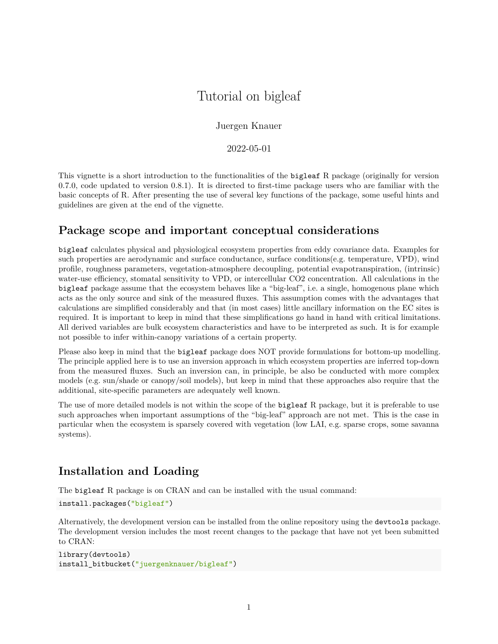# Tutorial on bigleaf

## Juergen Knauer

2022-05-01

This vignette is a short introduction to the functionalities of the bigleaf R package (originally for version 0.7.0, code updated to version 0.8.1). It is directed to first-time package users who are familiar with the basic concepts of R. After presenting the use of several key functions of the package, some useful hints and guidelines are given at the end of the vignette.

# **Package scope and important conceptual considerations**

bigleaf calculates physical and physiological ecosystem properties from eddy covariance data. Examples for such properties are aerodynamic and surface conductance, surface conditions(e.g. temperature, VPD), wind profile, roughness parameters, vegetation-atmosphere decoupling, potential evapotranspiration, (intrinsic) water-use efficiency, stomatal sensitivity to VPD, or intercellular CO2 concentration. All calculations in the bigleaf package assume that the ecosystem behaves like a "big-leaf", i.e. a single, homogenous plane which acts as the only source and sink of the measured fluxes. This assumption comes with the advantages that calculations are simplified considerably and that (in most cases) little ancillary information on the EC sites is required. It is important to keep in mind that these simplifications go hand in hand with critical limitations. All derived variables are bulk ecosystem characteristics and have to be interpreted as such. It is for example not possible to infer within-canopy variations of a certain property.

Please also keep in mind that the bigleaf package does NOT provide formulations for bottom-up modelling. The principle applied here is to use an inversion approach in which ecosystem properties are inferred top-down from the measured fluxes. Such an inversion can, in principle, be also be conducted with more complex models (e.g. sun/shade or canopy/soil models), but keep in mind that these approaches also require that the additional, site-specific parameters are adequately well known.

The use of more detailed models is not within the scope of the bigleaf R package, but it is preferable to use such approaches when important assumptions of the "big-leaf" approach are not met. This is the case in particular when the ecosystem is sparsely covered with vegetation (low LAI, e.g. sparse crops, some savanna systems).

# **Installation and Loading**

The bigleaf R package is on CRAN and can be installed with the usual command:

```
install.packages("bigleaf")
```
Alternatively, the development version can be installed from the online repository using the devtools package. The development version includes the most recent changes to the package that have not yet been submitted to CRAN:

```
library(devtools)
install_bitbucket("juergenknauer/bigleaf")
```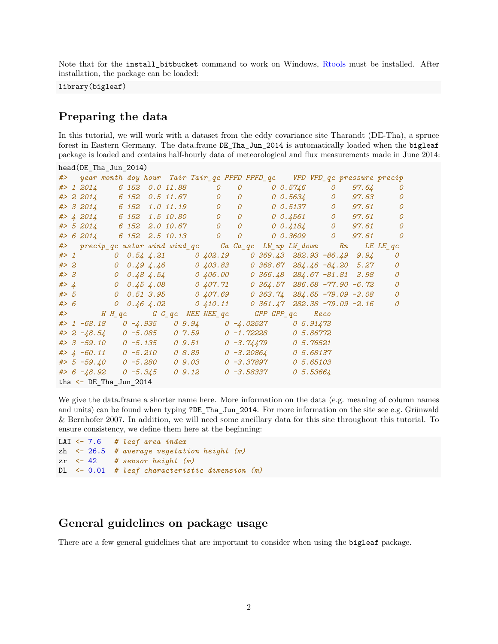Note that for the install\_bitbucket command to work on Windows, [Rtools](https://cran.r-project.org/bin/windows/Rtools/) must be installed. After installation, the package can be loaded:

library(bigleaf)

## **Preparing the data**

In this tutorial, we will work with a dataset from the eddy covariance site Tharandt (DE-Tha), a spruce forest in Eastern Germany. The data.frame DE\_Tha\_Jun\_2014 is automatically loaded when the bigleaf package is loaded and contains half-hourly data of meteorological and flux measurements made in June 2014:

| head(DE_Tha_Jun_2014) |                                                                                                                              |  |  |  |                                                                      |  |              |  |                |  |  |  |                                                         |  |                |  |                              |  |
|-----------------------|------------------------------------------------------------------------------------------------------------------------------|--|--|--|----------------------------------------------------------------------|--|--------------|--|----------------|--|--|--|---------------------------------------------------------|--|----------------|--|------------------------------|--|
|                       | #> year month doy hour Tair Tair_qc PPFD PPFD_qc VPD VPD_qc pressure precip                                                  |  |  |  |                                                                      |  |              |  |                |  |  |  |                                                         |  |                |  |                              |  |
|                       | #> 1 2014 6 152 0.0 11.88 0                                                                                                  |  |  |  |                                                                      |  |              |  | $\mathcal O$   |  |  |  | $0 \hspace{.05in} 0.5746$ 0                             |  |                |  | 97.64<br>$\mathcal O$        |  |
|                       | $\#$ 2 2014 6 152 0.5 11.67 0                                                                                                |  |  |  |                                                                      |  |              |  | $\overline{O}$ |  |  |  | 0 0.5634                                                |  | $\overline{O}$ |  | 97.63<br>0                   |  |
|                       | #> 3 2014 6 152 1.0 11.19 0                                                                                                  |  |  |  |                                                                      |  |              |  | $\overline{O}$ |  |  |  | 0 0.5137 0 97.61                                        |  |                |  | $\mathcal O$                 |  |
|                       | #> 4 2014 6 152 1.5 10.80                                                                                                    |  |  |  |                                                                      |  | $\mathcal O$ |  |                |  |  |  | 0 0 0.4561 0 97.61                                      |  |                |  | $\mathcal O$                 |  |
|                       | #> 5 2014 6 152 2.0 10.67 0                                                                                                  |  |  |  |                                                                      |  |              |  | $\overline{O}$ |  |  |  | $0 \;\; 0.4184 \;\;\;\;\;\;\;\;\; 0 \quad \;\;\; 97.61$ |  |                |  | $\mathcal O$                 |  |
|                       | #> 6 2014 6 152 2.5 10.13 0 0                                                                                                |  |  |  |                                                                      |  |              |  |                |  |  |  |                                                         |  |                |  | $0 \t0.3609 \t0 \t97.61 \t0$ |  |
|                       | #> precip_qc ustar wind wind_qc                             Ca Ca_qc LW_up LW_down                            Rn    LE LE_qc |  |  |  |                                                                      |  |              |  |                |  |  |  |                                                         |  |                |  |                              |  |
|                       | $#$ > 1                                                                                                                      |  |  |  | $0$ $0.54$ $4.21$ $0$ $402.19$ $0.369.43$ $282.93$ $-86.49$ $9.94$   |  |              |  |                |  |  |  |                                                         |  |                |  | 0                            |  |
|                       | # > 2                                                                                                                        |  |  |  | $0$ $0.49$ $4.46$ $0$ $403.83$ $0$ $368.67$ $284.46$ $-84.20$ $5.27$ |  |              |  |                |  |  |  |                                                         |  |                |  | 0                            |  |
|                       | #> 3                                                                                                                         |  |  |  | $0$ $0.48$ $4.54$ $0$ $406.00$ $0$ $366.48$ $284.67$ $-81.81$ $3.98$ |  |              |  |                |  |  |  |                                                         |  |                |  | $\mathcal O$                 |  |
|                       | # > 4                                                                                                                        |  |  |  | $0$ $0.45$ $4.08$ $0$ $407.71$ $0.364.57$ $286.68$ $-77.90$ $-6.72$  |  |              |  |                |  |  |  |                                                         |  |                |  | $\mathcal O$                 |  |
|                       | #> 5 0 0.51 3.95 0 407.69 0 363.74 284.65 -79.09 -3.08                                                                       |  |  |  |                                                                      |  |              |  |                |  |  |  |                                                         |  |                |  | 0                            |  |
|                       | #> 6                                                                                                                         |  |  |  | 0 $0.46$ 4.02 0 410.11 0 361.47 282.38 -79.09 -2.16                  |  |              |  |                |  |  |  |                                                         |  |                |  | 0                            |  |
|                       | $#$ > HH_qc GG_qc NEE NEE_qc GPP GPP_qc Reco                                                                                 |  |  |  |                                                                      |  |              |  |                |  |  |  |                                                         |  |                |  |                              |  |
|                       | #> 1 -68.18  0 -4.935  0 9.94  0 -4.02527  0 5.91473                                                                         |  |  |  |                                                                      |  |              |  |                |  |  |  |                                                         |  |                |  |                              |  |
|                       | #> 2 -48.54 0 -5.085 0 7.59 0 -1.72228                                                                                       |  |  |  |                                                                      |  |              |  |                |  |  |  | 0 5.86772                                               |  |                |  |                              |  |
|                       | #> 3 -59.10  0 -5.135  0 9.51  0 -3.74479                                                                                    |  |  |  |                                                                      |  |              |  |                |  |  |  | 0 5.76521                                               |  |                |  |                              |  |
|                       | #> $\mu$ -60.11 0 -5.210 08.89 0 -3.20864                                                                                    |  |  |  |                                                                      |  |              |  |                |  |  |  | <i>0 5.68137</i>                                        |  |                |  |                              |  |
|                       | #> 5 -59.40  0 -5.280  0 9.03  0 -3.37897                                                                                    |  |  |  |                                                                      |  |              |  |                |  |  |  | 0 5.65103                                               |  |                |  |                              |  |
|                       |                                                                                                                              |  |  |  |                                                                      |  |              |  |                |  |  |  | 05.53664                                                |  |                |  |                              |  |
|                       | tha $\leq$ DE_Tha_Jun_2014                                                                                                   |  |  |  |                                                                      |  |              |  |                |  |  |  |                                                         |  |                |  |                              |  |

We give the data.frame a shorter name here. More information on the data (e.g. meaning of column names and units) can be found when typing ?DE\_Tha\_Jun\_2014. For more information on the site see e.g. Grünwald & Bernhofer 2007. In addition, we will need some ancillary data for this site throughout this tutorial. To ensure consistency, we define them here at the beginning:

```
LAI <- 7.6 # leaf area index
zh <- 26.5 # average vegetation height (m)
zr <- 42 # sensor height (m)
Dl <- 0.01 # leaf characteristic dimension (m)
```
## **General guidelines on package usage**

There are a few general guidelines that are important to consider when using the bigleaf package.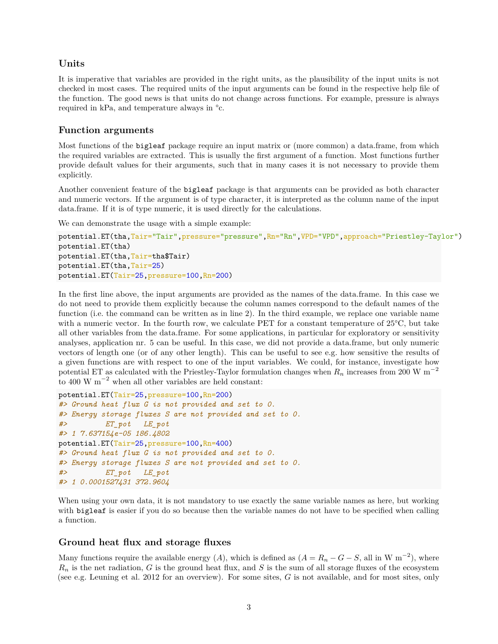## **Units**

It is imperative that variables are provided in the right units, as the plausibility of the input units is not checked in most cases. The required units of the input arguments can be found in the respective help file of the function. The good news is that units do not change across functions. For example, pressure is always required in kPa, and temperature always in °c.

## **Function arguments**

Most functions of the bigleaf package require an input matrix or (more common) a data.frame, from which the required variables are extracted. This is usually the first argument of a function. Most functions further provide default values for their arguments, such that in many cases it is not necessary to provide them explicitly.

Another convenient feature of the bigleaf package is that arguments can be provided as both character and numeric vectors. If the argument is of type character, it is interpreted as the column name of the input data.frame. If it is of type numeric, it is used directly for the calculations.

We can demonstrate the usage with a simple example:

```
potential.ET(tha,Tair="Tair",pressure="pressure",Rn="Rn",VPD="VPD",approach="Priestley-Taylor")
potential.ET(tha)
potential.ET(tha,Tair=tha$Tair)
potential.ET(tha,Tair=25)
potential.ET(Tair=25,pressure=100,Rn=200)
```
In the first line above, the input arguments are provided as the names of the data.frame. In this case we do not need to provide them explicitly because the column names correspond to the default names of the function (i.e. the command can be written as in line 2). In the third example, we replace one variable name with a numeric vector. In the fourth row, we calculate PET for a constant temperature of 25°C, but take all other variables from the data.frame. For some applications, in particular for exploratory or sensitivity analyses, application nr. 5 can be useful. In this case, we did not provide a data.frame, but only numeric vectors of length one (or of any other length). This can be useful to see e.g. how sensitive the results of a given functions are with respect to one of the input variables. We could, for instance, investigate how potential ET as calculated with the Priestley-Taylor formulation changes when *R<sup>n</sup>* increases from 200 W m<sup>−</sup><sup>2</sup> to 400 W  $\mathrm{m}^{-2}$  when all other variables are held constant:

```
potential.ET(Tair=25,pressure=100,Rn=200)
#> Ground heat flux G is not provided and set to 0.
#> Energy storage fluxes S are not provided and set to 0.
#> ET_pot LE_pot
#> 1 7.637154e-05 186.4802
potential.ET(Tair=25,pressure=100,Rn=400)
#> Ground heat flux G is not provided and set to 0.
#> Energy storage fluxes S are not provided and set to 0.
#> ET_pot LE_pot
#> 1 0.0001527431 372.9604
```
When using your own data, it is not mandatory to use exactly the same variable names as here, but working with **bigleaf** is easier if you do so because then the variable names do not have to be specified when calling a function.

## **Ground heat flux and storage fluxes**

Many functions require the available energy  $(A)$ , which is defined as  $(A = R_n - G - S)$ , all in W m<sup>-2</sup>), where  $R_n$  is the net radiation,  $G$  is the ground heat flux, and  $S$  is the sum of all storage fluxes of the ecosystem (see e.g. Leuning et al. 2012 for an overview). For some sites, *G* is not available, and for most sites, only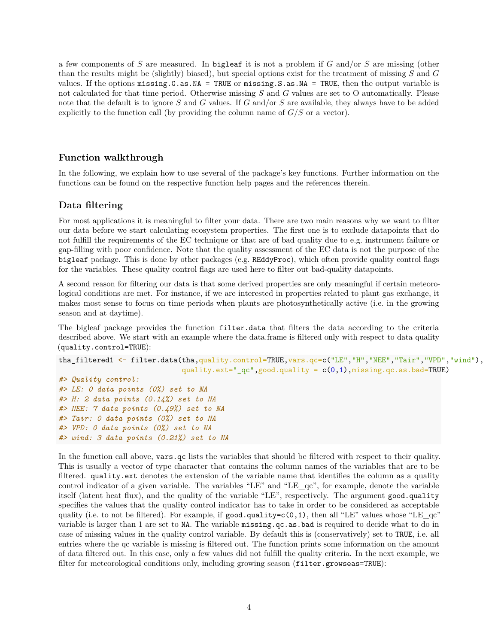a few components of *S* are measured. In bigleaf it is not a problem if *G* and/or *S* are missing (other than the results might be (slightly) biased), but special options exist for the treatment of missing *S* and *G* values. If the options missing.G.as.NA = TRUE or missing.S.as.NA = TRUE, then the output variable is not calculated for that time period. Otherwise missing *S* and *G* values are set to O automatically. Please note that the default is to ignore *S* and *G* values. If *G* and/or *S* are available, they always have to be added explicitly to the function call (by providing the column name of  $G/S$  or a vector).

## **Function walkthrough**

In the following, we explain how to use several of the package's key functions. Further information on the functions can be found on the respective function help pages and the references therein.

### **Data filtering**

For most applications it is meaningful to filter your data. There are two main reasons why we want to filter our data before we start calculating ecosystem properties. The first one is to exclude datapoints that do not fulfill the requirements of the EC technique or that are of bad quality due to e.g. instrument failure or gap-filling with poor confidence. Note that the quality assessment of the EC data is not the purpose of the bigleaf package. This is done by other packages (e.g. REddyProc), which often provide quality control flags for the variables. These quality control flags are used here to filter out bad-quality datapoints.

A second reason for filtering our data is that some derived properties are only meaningful if certain meteorological conditions are met. For instance, if we are interested in properties related to plant gas exchange, it makes most sense to focus on time periods when plants are photosynthetically active (i.e. in the growing season and at daytime).

The bigleaf package provides the function filter.data that filters the data according to the criteria described above. We start with an example where the data.frame is filtered only with respect to data quality (quality.control=TRUE):

```
tha_filtered1 <- filter.data(tha,quality.control=TRUE,vars.qc=c("LE","H","NEE","Tair","VPD","wind"),
                             quality.ext="_qc",good.quality = c(0,1), missing.qc.as.bad=TRUE)
```

```
#> Quality control:
#> LE: 0 data points (0%) set to NA
#> H: 2 data points (0.14%) set to NA
#> NEE: 7 data points (0.49%) set to NA
#> Tair: 0 data points (0%) set to NA
#> VPD: 0 data points (0%) set to NA
#> wind: 3 data points (0.21%) set to NA
```
In the function call above, vars.qc lists the variables that should be filtered with respect to their quality. This is usually a vector of type character that contains the column names of the variables that are to be filtered. quality.ext denotes the extension of the variable name that identifies the column as a quality control indicator of a given variable. The variables "LE" and "LE\_qc", for example, denote the variable itself (latent heat flux), and the quality of the variable "LE", respectively. The argument good.quality specifies the values that the quality control indicator has to take in order to be considered as acceptable quality (i.e. to not be filtered). For example, if good.quality=c(0,1), then all "LE" values whose "LE\_qc" variable is larger than 1 are set to NA. The variable missing.qc.as.bad is required to decide what to do in case of missing values in the quality control variable. By default this is (conservatively) set to TRUE, i.e. all entries where the qc variable is missing is filtered out. The function prints some information on the amount of data filtered out. In this case, only a few values did not fulfill the quality criteria. In the next example, we filter for meteorological conditions only, including growing season (filter.growseas=TRUE):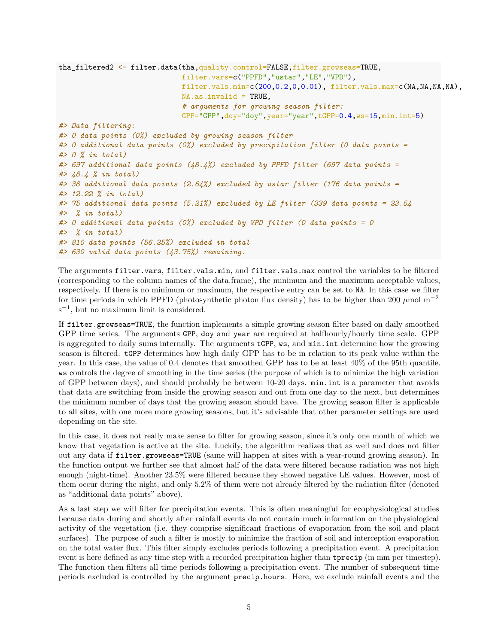```
tha_filtered2 <- filter.data(tha,quality.control=FALSE,filter.growseas=TRUE,
                             filter.vars=c("PPFD","ustar","LE","VPD"),
                             filter.vals.min=c(200, 0.2, 0.0.01), filter.vals.max=c(MA, NA, NA, NA),
                             NA.as.invalid = TRUE,
                             # arguments for growing season filter:
                             GPP="GPP",doy="doy",year="year",tGPP=0.4,ws=15,min.int=5)
#> Data filtering:
#> 0 data points (0%) excluded by growing season filter
#> 0 additional data points (0%) excluded by precipitation filter (0 data points =
#> 0 % in total)
#> 697 additional data points (48.4%) excluded by PPFD filter (697 data points =
#> 48.4 % in total)
#> 38 additional data points (2.64%) excluded by ustar filter (176 data points =
#> 12.22 % in total)
#> 75 additional data points (5.21%) excluded by LE filter (339 data points = 23.54
#> % in total)
#> 0 additional data points (0%) excluded by VPD filter (0 data points = 0
#> % in total)
#> 810 data points (56.25%) excluded in total
#> 630 valid data points (43.75%) remaining.
```
The arguments filter.vars, filter.vals.min, and filter.vals.max control the variables to be filtered (corresponding to the column names of the data.frame), the minimum and the maximum acceptable values, respectively. If there is no minimum or maximum, the respective entry can be set to NA. In this case we filter for time periods in which PPFD (photosynthetic photon flux density) has to be higher than 200 *µ*mol m<sup>−</sup><sup>2</sup>  $s^{-1}$ , but no maximum limit is considered.

If filter.growseas=TRUE, the function implements a simple growing season filter based on daily smoothed GPP time series. The arguments GPP, doy and year are required at halfhourly/hourly time scale. GPP is aggregated to daily sums internally. The arguments tGPP, ws, and min.int determine how the growing season is filtered. tGPP determines how high daily GPP has to be in relation to its peak value within the year. In this case, the value of 0.4 denotes that smoothed GPP has to be at least 40% of the 95th quantile. ws controls the degree of smoothing in the time series (the purpose of which is to minimize the high variation of GPP between days), and should probably be between 10-20 days. min.int is a parameter that avoids that data are switching from inside the growing season and out from one day to the next, but determines the minimum number of days that the growing season should have. The growing season filter is applicable to all sites, with one more more growing seasons, but it's advisable that other parameter settings are used depending on the site.

In this case, it does not really make sense to filter for growing season, since it's only one month of which we know that vegetation is active at the site. Luckily, the algorithm realizes that as well and does not filter out any data if filter.growseas=TRUE (same will happen at sites with a year-round growing season). In the function output we further see that almost half of the data were filtered because radiation was not high enough (night-time). Another 23.5% were filtered because they showed negative LE values. However, most of them occur during the night, and only 5.2% of them were not already filtered by the radiation filter (denoted as "additional data points" above).

As a last step we will filter for precipitation events. This is often meaningful for ecophysiological studies because data during and shortly after rainfall events do not contain much information on the physiological activity of the vegetation (i.e. they comprise significant fractions of evaporation from the soil and plant surfaces). The purpose of such a filter is mostly to minimize the fraction of soil and interception evaporation on the total water flux. This filter simply excludes periods following a precipitation event. A precipitation event is here defined as any time step with a recorded precipitation higher than tprecip (in mm per timestep). The function then filters all time periods following a precipitation event. The number of subsequent time periods excluded is controlled by the argument precip.hours. Here, we exclude rainfall events and the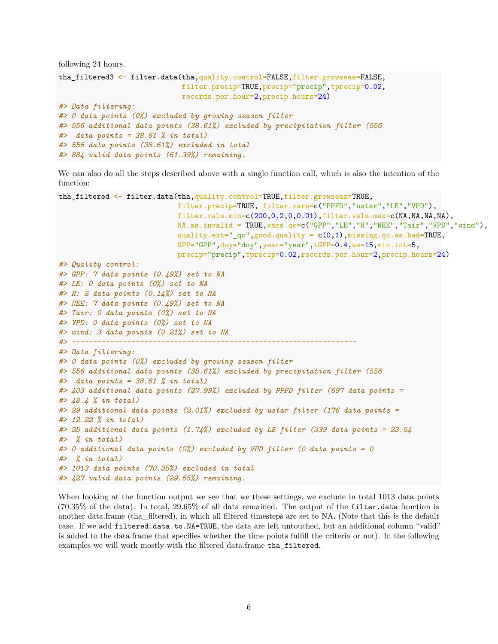```
following 24 hours.
```

```
tha_filtered3 <- filter.data(tha,quality.control=FALSE,filter.growseas=FALSE,
                             filter.precip=TRUE,precip="precip",tprecip=0.02,
                             records.per.hour=2,precip.hours=24)
#> Data filtering:
#> 0 data points (0%) excluded by growing season filter
#> 556 additional data points (38.61%) excluded by precipitation filter (556
#> data points = 38.61 % in total)
#> 556 data points (38.61%) excluded in total
#> 884 valid data points (61.39%) remaining.
```
We can also do all the steps described above with a single function call, which is also the intention of the function:

```
tha_filtered <- filter.data(tha,quality.control=TRUE,filter.growseas=TRUE,
                             filter.precip=TRUE, filter.vars=c("PPFD","ustar","LE","VPD"),
                             filter.vals.min=c(200,0.2,0,0.01),filter.vals.max=c(NA,NA,NA,NA),
                             NA.as.invalid = TRUE, vars.qc=c("GPP", "LE", "H", "NEE", "Tair", "VPD", "wind",quality.ext="_qc",good.quality = c(0,1), missing.qc.as.bad=TRUE,
                             GPP="GPP",doy="doy",year="year",tGPP=0.4,ws=15,min.int=5,
                             precip="precip",tprecip=0.02,records.per.hour=2,precip.hours=24)
#> Quality control:
#> GPP: 7 data points (0.49%) set to NA
#> LE: 0 data points (0%) set to NA
#> H: 2 data points (0.14%) set to NA
#> NEE: 7 data points (0.49%) set to NA
#> Tair: 0 data points (0%) set to NA
#> VPD: 0 data points (0%) set to NA
#> wind: 3 data points (0.21%) set to NA
#> -------------------------------------------------------------------
#> Data filtering:
#> 0 data points (0%) excluded by growing season filter
#> 556 additional data points (38.61%) excluded by precipitation filter (556
#> data points = 38.61 % in total)
#> 403 additional data points (27.99%) excluded by PPFD filter (697 data points =
#> 48.4 % in total)
#> 29 additional data points (2.01%) excluded by ustar filter (176 data points =
#> 12.22 % in total)
#> 25 additional data points (1.74%) excluded by LE filter (339 data points = 23.54
#> % in total)
#> 0 additional data points (0%) excluded by VPD filter (0 data points = 0
#> % in total)
#> 1013 data points (70.35%) excluded in total
#> 427 valid data points (29.65%) remaining.
```
When looking at the function output we see that we these settings, we exclude in total 1013 data points (70.35% of the data). In total, 29.65% of all data remained. The output of the filter.data function is another data.frame (tha\_filtered), in which all filtered timesteps are set to NA. (Note that this is the default case. If we add filtered.data.to.NA=TRUE, the data are left untouched, but an additional column "valid" is added to the data.frame that specifies whether the time points fulfill the criteria or not). In the following examples we will work mostly with the filtered data.frame tha\_filtered.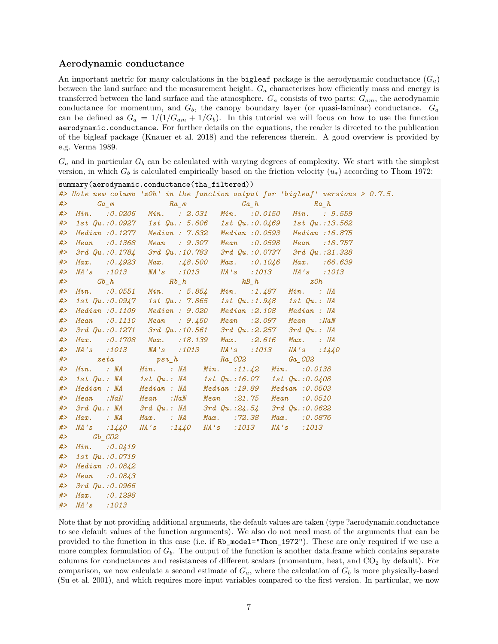#### **Aerodynamic conductance**

An important metric for many calculations in the **bigleaf** package is the aerodynamic conductance  $(G_a)$ between the land surface and the measurement height. *G<sup>a</sup>* characterizes how efficiently mass and energy is transferred between the land surface and the atmosphere. *G<sup>a</sup>* consists of two parts: *Gam*, the aerodynamic conductance for momentum, and  $G_b$ , the canopy boundary layer (or quasi-laminar) conductance.  $G_a$ can be defined as  $G_a = 1/(1/G_{am} + 1/G_b)$ . In this tutorial we will focus on how to use the function aerodynamic.conductance. For further details on the equations, the reader is directed to the publication of the bigleaf package (Knauer et al. 2018) and the references therein. A good overview is provided by e.g. Verma 1989.

 $G_a$  and in particular  $G_b$  can be calculated with varying degrees of complexity. We start with the simplest version, in which  $G_b$  is calculated empirically based on the friction velocity  $(u_*)$  according to Thom 1972:

|       |                  |                                                                                                                                                                                                                                                                                                                                                                    | #> Note new column 'zOh' in the function output for 'bigleaf' versions > $0.7.5$ . |
|-------|------------------|--------------------------------------------------------------------------------------------------------------------------------------------------------------------------------------------------------------------------------------------------------------------------------------------------------------------------------------------------------------------|------------------------------------------------------------------------------------|
| #>    |                  | $Ga\_m$ $Ra\_m$ $Ga\_h$ $Ra\_h$                                                                                                                                                                                                                                                                                                                                    |                                                                                    |
|       |                  | #> Min. : 0.0206 Min. : 2.031 Min. : 0.0150 Min. : 9.559                                                                                                                                                                                                                                                                                                           |                                                                                    |
|       |                  | #> 1st Qu.:0.0927 1st Qu.: 5.606 1st Qu.:0.0469 1st Qu.:13.562                                                                                                                                                                                                                                                                                                     |                                                                                    |
|       |                  | #> Median :0.1277 Median : 7.832 Median :0.0593 Median :16.875                                                                                                                                                                                                                                                                                                     |                                                                                    |
| #>    |                  | Mean :0.1368 Mean : 9.307 Mean :0.0598 Mean :18.757                                                                                                                                                                                                                                                                                                                |                                                                                    |
| #>    |                  | 3rd Qu.: 0.1784 3rd Qu.: 10.783 3rd Qu.: 0.0737 3rd Qu.: 21.328                                                                                                                                                                                                                                                                                                    |                                                                                    |
| #>    |                  | Max. : 0.4923 Max. : 48.500 Max. : 0.1046 Max. : 66.639                                                                                                                                                                                                                                                                                                            |                                                                                    |
| #>    |                  | NA's :1013 NA's :1013 NA's :1013 NA's :1013                                                                                                                                                                                                                                                                                                                        |                                                                                    |
| #>    |                  | $\begin{aligned} Gb\_h \hspace{1cm} Rb\_h \hspace{1cm} kB\_h \hspace{1cm} z0h \\ \mathit{Min.} \hspace{0.5cm} :0.0551 \hspace{0.5cm} \mathit{Min.} \hspace{0.5cm} : \hspace{0.5cm} 5.854 \hspace{0.5cm} \mathit{Min.} \hspace{0.5cm} : \hspace{0.5cm} 1.487 \hspace{0.5cm} \mathit{Min.} \hspace{0.5cm} : \hspace{0.5cm} \mathit{NA} \hspace{0.5cm} \end{aligned}$ |                                                                                    |
| #>    |                  |                                                                                                                                                                                                                                                                                                                                                                    |                                                                                    |
| #>    |                  | 1st Qu.:0.0947    1st Qu.: 7.865    1st Qu.:1.948    1st Qu.: NA                                                                                                                                                                                                                                                                                                   |                                                                                    |
| #>    |                  | Median : 0.1109 Median : 9.020 Median : 2.108 Median : NA                                                                                                                                                                                                                                                                                                          |                                                                                    |
| #>    |                  | Mean : 0.1110 Mean : 9.450 Mean : 2.097 Mean : NaN                                                                                                                                                                                                                                                                                                                 |                                                                                    |
| # $>$ |                  | 3rd Qu.: 0.1271 3rd Qu.: 10.561 3rd Qu.: 2.257 3rd Qu.: NA                                                                                                                                                                                                                                                                                                         |                                                                                    |
| #>    |                  | Max. : 0.1708 Max. : 18.139 Max. : 2.616 Max. : NA                                                                                                                                                                                                                                                                                                                 |                                                                                    |
| #>    |                  | NA's :1013 NA's :1013 NA's :1013 NA's :1440                                                                                                                                                                                                                                                                                                                        |                                                                                    |
| #>    |                  |                                                                                                                                                                                                                                                                                                                                                                    |                                                                                    |
| #>    |                  |                                                                                                                                                                                                                                                                                                                                                                    |                                                                                    |
|       |                  | #> 1st Qu.: NA 1st Qu.: NA 1st Qu.:16.07 1st Qu.:0.0408                                                                                                                                                                                                                                                                                                            |                                                                                    |
|       |                  | #> Median : NA Median : NA Median : 19.89 Median : 0.0503                                                                                                                                                                                                                                                                                                          |                                                                                    |
| #>    |                  | Mean : NaN Mean : NaN Mean : 21.75 Mean : 0.0510                                                                                                                                                                                                                                                                                                                   |                                                                                    |
| #     |                  | $3rd\,Qu.:\, M\qquad 3rd\,Qu.:\, M\qquad 3rd\, Qu.:24.54\quad 3rd\, Qu.:0.0622$                                                                                                                                                                                                                                                                                    |                                                                                    |
| #>    |                  | Max. : NA Max. : NA Max. : 72.38 Max. : 0.0876                                                                                                                                                                                                                                                                                                                     |                                                                                    |
| #>    |                  | NA's :1440 NA's :1440 NA's :1013 NA's :1013                                                                                                                                                                                                                                                                                                                        |                                                                                    |
| #>    | $Gb$ $CO2$       |                                                                                                                                                                                                                                                                                                                                                                    |                                                                                    |
| #>    | $Min.$ : 0.0419  |                                                                                                                                                                                                                                                                                                                                                                    |                                                                                    |
| # $>$ | 1st Qu.: 0.0719  |                                                                                                                                                                                                                                                                                                                                                                    |                                                                                    |
| #>    | Median : 0.0842  |                                                                                                                                                                                                                                                                                                                                                                    |                                                                                    |
| #>    | Mean : 0.0843    |                                                                                                                                                                                                                                                                                                                                                                    |                                                                                    |
| #>    | 3rd Qu.: 0.0966  |                                                                                                                                                                                                                                                                                                                                                                    |                                                                                    |
| #>    | Max. : 0.1298    |                                                                                                                                                                                                                                                                                                                                                                    |                                                                                    |
|       | $# >$ NA's :1013 |                                                                                                                                                                                                                                                                                                                                                                    |                                                                                    |

summary(aerodynamic.conductance(tha\_filtered))

Note that by not providing additional arguments, the default values are taken (type ?aerodynamic.conductance to see default values of the function arguments). We also do not need most of the arguments that can be provided to the function in this case (i.e. if Rb\_model="Thom\_1972"). These are only required if we use a more complex formulation of  $G_b$ . The output of the function is another data.frame which contains separate columns for conductances and resistances of different scalars (momentum, heat, and  $CO<sub>2</sub>$  by default). For comparison, we now calculate a second estimate of  $G_a$ , where the calculation of  $G_b$  is more physically-based (Su et al. 2001), and which requires more input variables compared to the first version. In particular, we now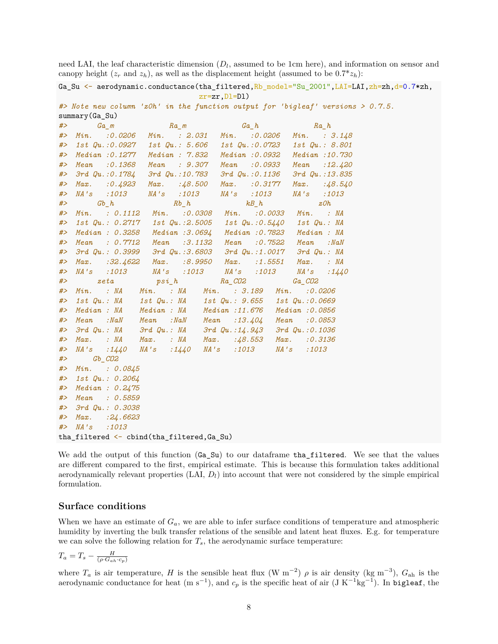need LAI, the leaf characteristic dimension  $(D_l)$ , assumed to be 1cm here), and information on sensor and canopy height  $(z_r \text{ and } z_h)$ , as well as the displacement height (assumed to be  $0.7 \times z_h$ ):

|                                                                                             | Ga_Su <- aerodynamic.conductance(tha_filtered,Rb_model="Su_2001",LAI=LAI,zh=zh,d=0.7*zh, |
|---------------------------------------------------------------------------------------------|------------------------------------------------------------------------------------------|
|                                                                                             | $zr=zr, D1=D1)$                                                                          |
|                                                                                             | #> Note new column 'zOh' in the function output for 'bigleaf' versions > 0.7.5.          |
| summary (Ga_Su)                                                                             |                                                                                          |
| #><br>$Ga_{m}$<br>$Ra_{m}$                                                                  | $Ga_h$<br>$Ra_ h$                                                                        |
| Min.<br>:0.0206<br>#>                                                                       | Min. : 2.031 Min. : 0.0206 Min. : 3.148                                                  |
| <i>1st Qu.:0.0927</i><br><i>1st Qu.: 5.606</i><br>#>                                        | 1st Qu.:0.0723 1st Qu.: 8.801                                                            |
| Median: 0.1277<br>#><br>Median : 7.832                                                      | Median : 0.0932 Median : 10.730                                                          |
| Mean : 0.1368<br>Mean : 9.307<br>#>                                                         | Mean : 0.0933 Mean<br>:12.420                                                            |
| $3rd$ $Qu.:$ $0.1784$<br>3rd Qu.:10.783<br>#>                                               | 3rd Qu.:0.1136<br>3rd Qu.:13.835                                                         |
| : 0.4923<br>Max.<br>Max.<br>:48.500<br>#>                                                   | Max.<br>$:0.\,\allowbreak 3177$<br>Max.<br>:48.540                                       |
| MA's<br>:1013<br><i>NA's</i> :1013<br>#>                                                    | <i>NA's</i> :1013<br>NA's :1013                                                          |
| #><br>$Gb_ h$<br>$Rb_{h}$                                                                   | $kB_ h$<br>$z$ Oh                                                                        |
| Min. : 0.1112 Min. : 0.0308 Min. : 0.0033 Min. : NA<br>#>                                   |                                                                                          |
| 1st $Qu.: 0.2717$ 1st $Qu.: 2.5005$ 1st $Qu.: 0.5440$ 1st $Qu.: M$<br>#>                    |                                                                                          |
| Median : 0.3258 Median : 3.0694 Median : 0.7823<br>#>                                       | Median : NA                                                                              |
| Mean : 0.7712 Mean : 3.1132 Mean : 0.7522<br>#>                                             | Mean<br>: NaN                                                                            |
| $3rd$ $Qu.: 0.3999$ $3rd$ $Qu.: 3.6803$ $3rd$ $Qu.: 1.0017$<br>#>                           | $3rd$ $Qu.:$ $NA$                                                                        |
| Max. : 32.4622 Max. : 8.9950 Max. : 1.5551<br>#>                                            | $Max.$ : $NA$                                                                            |
| NA's :1013<br>NA's :1013<br>#>                                                              | NA's :1013<br>NA's<br>:1440                                                              |
| $psi_ h$<br>zeta<br>#>                                                                      | $Ra\_CO2$<br>$Ga_CO2$                                                                    |
| Min. : NA Min. : NA Min. : 3.189 Min.<br>#>                                                 | : 0.0206                                                                                 |
| 1st Qu.: NA 1st Qu.: NA 1st Qu.: 9.655 1st Qu.: 0.0669<br>#>                                |                                                                                          |
| Median : NA Median : NA Median : 11.676 Median : 0.0856<br>#>                               |                                                                                          |
| :NaN Mean :NaN Mean :13.404 Mean<br>Mean<br>#>                                              | : 0.0853                                                                                 |
| $3rd\,Qu.:\,M\qquad 3rd\,Qu.:\,M\qquad 3rd\,Qu.:\,14.\,943\qquad 3rd\,Qu.:\,0.\,1036$<br>#> |                                                                                          |
| Max. : NA Max. : NA Max. : $\frac{1}{8}$ .553 Max. : 0.3136<br>#>                           |                                                                                          |
| $NA's$ : $1440$ $NA's$ : 1013<br>MA's<br>:1440<br>#>                                        | NA's :1013                                                                               |
| #><br>$Gb$ $CO2$                                                                            |                                                                                          |
| Min. : 0.0845<br>#>                                                                         |                                                                                          |
| 1st Qu.: 0.2064<br>#>                                                                       |                                                                                          |
| Median: 0.2475<br>#>                                                                        |                                                                                          |
| Mean : 0.5859<br>#>                                                                         |                                                                                          |
| 3rd Qu.: 0.3038<br>#>                                                                       |                                                                                          |
| $Max.$ : 24.6623<br>#>                                                                      |                                                                                          |
| MA's<br>: 1013<br>#>                                                                        |                                                                                          |
| tha_filtered <- cbind(tha_filtered,Ga_Su)                                                   |                                                                                          |

We add the output of this function (Ga\_Su) to our dataframe tha\_filtered. We see that the values are different compared to the first, empirical estimate. This is because this formulation takes additional aerodynamically relevant properties (LAI, *Dl*) into account that were not considered by the simple empirical formulation.

#### **Surface conditions**

When we have an estimate of  $G_a$ , we are able to infer surface conditions of temperature and atmospheric humidity by inverting the bulk transfer relations of the sensible and latent heat fluxes. E.g. for temperature we can solve the following relation for  $T_s$ , the aerodynamic surface temperature:

$$
T_a = T_s - \frac{H}{(\rho \cdot G_{ah} \cdot c_p)}
$$

where  $T_a$  is air temperature, *H* is the sensible heat flux (W m<sup>-2</sup>)  $\rho$  is air density (kg m<sup>-3</sup>),  $G_{ah}$  is the aerodynamic conductance for heat (m s<sup>-1</sup>), and  $c_p$  is the specific heat of air (J K<sup>-1</sup>kg<sup>-1</sup>). In bigleaf, the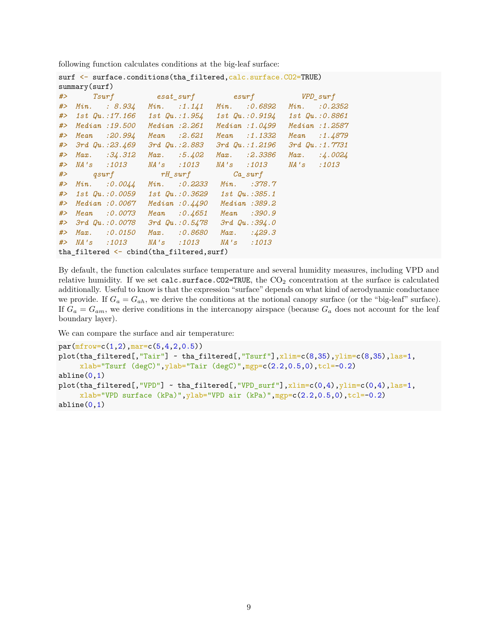following function calculates conditions at the big-leaf surface:

|       |                                                     | surf <- surface.conditions(tha filtered, calc.surface.CO2=TRUE)        |  |                                        |  |                       |  |                 |  |  |  |  |
|-------|-----------------------------------------------------|------------------------------------------------------------------------|--|----------------------------------------|--|-----------------------|--|-----------------|--|--|--|--|
|       | summary(surf)                                       |                                                                        |  |                                        |  |                       |  |                 |  |  |  |  |
|       |                                                     | #> Tsurf esat_surf esurf WPD_surf                                      |  |                                        |  |                       |  |                 |  |  |  |  |
|       |                                                     | $#$ Min. : 8.934                                                       |  | $Min.$ :1.141 $Min.$ :0.6892           |  |                       |  | $Min.$ : 0.2352 |  |  |  |  |
|       |                                                     | #> 1st Qu.:17.166    1st Qu.:1.954    1st Qu.:0.9194    1st Qu.:0.8861 |  |                                        |  |                       |  |                 |  |  |  |  |
|       |                                                     | #> Median :19.500 Median :2.261                                        |  |                                        |  | Median:1.0499         |  | Median :1.2587  |  |  |  |  |
| #>    |                                                     | Mean :20.994                                                           |  | Mean :2.621                            |  | $Mean$ :1.1332        |  | Mean : $1.4879$ |  |  |  |  |
|       |                                                     | #> 3rd Qu.:23.469                                                      |  | <i>3rd Qu.:2.883</i>                   |  | $3rd$ $Qu.:1.2196$    |  | 3rd Qu.: 1.7731 |  |  |  |  |
| #>    |                                                     | $Max.$ : $34.312$                                                      |  | $Max.$ :5.402                          |  | $Max.$ :2.3386        |  | $Max.$ :4.0024  |  |  |  |  |
|       |                                                     | # > NA's : 1013                                                        |  | NA's :1013                             |  | NA's :1013 NA's :1013 |  |                 |  |  |  |  |
|       |                                                     | #> qsurf rH_surf Ca_surf                                               |  |                                        |  |                       |  |                 |  |  |  |  |
|       |                                                     | #> Min. :0.0044 Min. :0.2233 Min. :378.7                               |  |                                        |  |                       |  |                 |  |  |  |  |
|       |                                                     | #> 1st Qu.:0.0059 1st Qu.:0.3629 1st Qu.:385.1                         |  |                                        |  |                       |  |                 |  |  |  |  |
|       |                                                     | #> Median :0.0067                                                      |  | Median : 0.4490 Median : 389.2         |  |                       |  |                 |  |  |  |  |
| # $>$ |                                                     | Mean :0.0073                                                           |  | Mean : 0.4651 Mean : 390.9             |  |                       |  |                 |  |  |  |  |
|       |                                                     | #> 3rd Qu.:0.0078                                                      |  | $3rd$ Qu.: $0.5478$ $3rd$ Qu.: $394.0$ |  |                       |  |                 |  |  |  |  |
| #     |                                                     | $Max.$ : 0.0150                                                        |  | $Max.$ :0.8680                         |  | Max. $:429.3$         |  |                 |  |  |  |  |
|       |                                                     |                                                                        |  |                                        |  |                       |  |                 |  |  |  |  |
|       | tha_filtered $\leftarrow$ cbind(tha_filtered, surf) |                                                                        |  |                                        |  |                       |  |                 |  |  |  |  |

By default, the function calculates surface temperature and several humidity measures, including VPD and relative humidity. If we set calc.surface.CO2=TRUE, the CO<sup>2</sup> concentration at the surface is calculated additionally. Useful to know is that the expression "surface" depends on what kind of aerodynamic conductance we provide. If  $G_a = G_{ah}$ , we derive the conditions at the notional canopy surface (or the "big-leaf" surface). If  $G_a = G_{am}$ , we derive conditions in the intercanopy airspace (because  $G_a$  does not account for the leaf boundary layer).

We can compare the surface and air temperature:

```
par(mfrow=c(1,2),mar=c(5,4,2,0.5))plot(tha_filtered[, "Tair"] ~ that_filtered[, "Tsurf"] , xlim=c(8,35), ylim=c(8,35), las=1,xlab="Tsurf (degC)",ylab="Tair (degC)",mgp=c(2.2,0.5,0),tcl=-0.2)
abline(0,1)plot(tha_filtered[, "VPD"] ~ that_filtered[, "VPD_sumf"], xlim=c(0,4), ylim=c(0,4), las=1,
     xlab="VPD surface (kPa)", ylab="VPD air (kPa)", mgp=c(2.2,0.5,0),tcl=-0.2)
abline(0,1)
```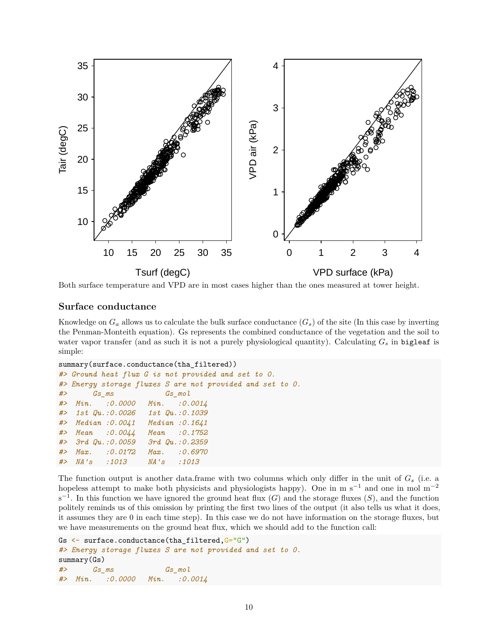

Both surface temperature and VPD are in most cases higher than the ones measured at tower height.

### **Surface conductance**

Knowledge on  $G_a$  allows us to calculate the bulk surface conductance  $(G_s)$  of the site (In this case by inverting the Penman-Monteith equation). Gs represents the combined conductance of the vegetation and the soil to water vapor transfer (and as such it is not a purely physiological quantity). Calculating *G<sup>s</sup>* in bigleaf is simple:

```
summary(surface.conductance(tha_filtered))
#> Ground heat flux G is not provided and set to 0.
#> Energy storage fluxes S are not provided and set to 0.
#> Gs_ms Gs_mol
#> Min. :0.0000 Min. :0.0014
#> 1st Qu.:0.0026 1st Qu.:0.1039
#> Median :0.0041 Median :0.1641
#> Mean :0.0044 Mean :0.1752
#> 3rd Qu.:0.0059 3rd Qu.:0.2359
#> Max. :0.0172 Max. :0.6970
#> NA's :1013 NA's :1013
```
The function output is another data.frame with two columns which only differ in the unit of *G<sup>s</sup>* (i.e. a hopeless attempt to make both physicists and physiologists happy). One in m s<sup>−1</sup> and one in mol m<sup>−2</sup>  $s^{-1}$ . In this function we have ignored the ground heat flux (*G*) and the storage fluxes (*S*), and the function politely reminds us of this omission by printing the first two lines of the output (it also tells us what it does, it assumes they are 0 in each time step). In this case we do not have information on the storage fluxes, but we have measurements on the ground heat flux, which we should add to the function call:

```
Gs <- surface.conductance(tha_filtered, G="G")
#> Energy storage fluxes S are not provided and set to 0.
summary(Gs)
#> Gs_ms Gs_mol
#> Min. :0.0000 Min. :0.0014
```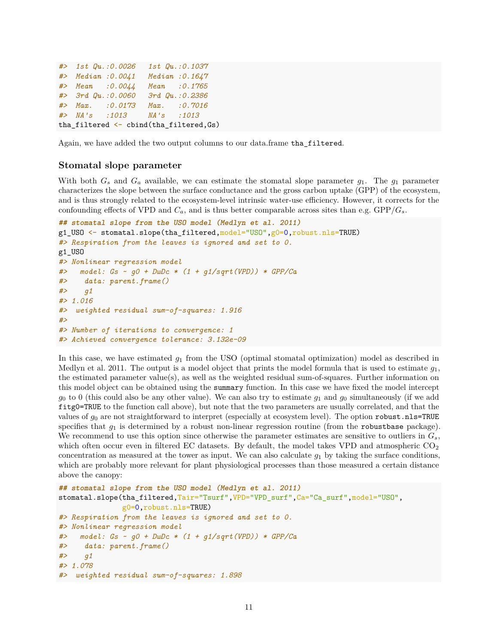```
#> 1st Qu.:0.0026 1st Qu.:0.1037
#> Median :0.0041 Median :0.1647
#> Mean :0.0044 Mean :0.1765
#> 3rd Qu.:0.0060 3rd Qu.:0.2386
#> Max. :0.0173 Max. :0.7016
#> NA's :1013 NA's :1013
tha_filtered <- cbind(tha_filtered,Gs)
```
Again, we have added the two output columns to our data.frame tha\_filtered.

## **Stomatal slope parameter**

With both  $G_s$  and  $G_a$  available, we can estimate the stomatal slope parameter  $g_1$ . The  $g_1$  parameter characterizes the slope between the surface conductance and the gross carbon uptake (GPP) of the ecosystem, and is thus strongly related to the ecosystem-level intrinsic water-use efficiency. However, it corrects for the confounding effects of VPD and  $C_a$ , and is thus better comparable across sites than e.g.  $\text{GPP}/G_s$ .

```
## stomatal slope from the USO model (Medlyn et al. 2011)
g1_USO <- stomatal.slope(tha_filtered,model="USO",g0=0,robust.nls=TRUE)
#> Respiration from the leaves is ignored and set to 0.
g1_USO
#> Nonlinear regression model
#> model: Gs ~ g0 + DwDc * (1 + g1/sqrt(VPD)) * GPP/Ca
#> data: parent.frame()
#> g1
#> 1.016
#> weighted residual sum-of-squares: 1.916
#>
#> Number of iterations to convergence: 1
#> Achieved convergence tolerance: 3.132e-09
```
In this case, we have estimated *g*<sup>1</sup> from the USO (optimal stomatal optimization) model as described in Medlyn et al. 2011. The output is a model object that prints the model formula that is used to estimate *g*1, the estimated parameter value(s), as well as the weighted residual sum-of-squares. Further information on this model object can be obtained using the summary function. In this case we have fixed the model intercept  $g_0$  to 0 (this could also be any other value). We can also try to estimate  $g_1$  and  $g_0$  simultaneously (if we add fitg0=TRUE to the function call above), but note that the two parameters are usually correlated, and that the values of  $g_0$  are not straightforward to interpret (especially at ecosystem level). The option robust.nls=TRUE specifies that  $g_1$  is determined by a robust non-linear regression routine (from the robustbase package). We recommend to use this option since otherwise the parameter estimates are sensitive to outliers in *Gs*, which often occur even in filtered EC datasets. By default, the model takes VPD and atmospheric  $CO<sub>2</sub>$ concentration as measured at the tower as input. We can also calculate  $g_1$  by taking the surface conditions, which are probably more relevant for plant physiological processes than those measured a certain distance above the canopy:

```
## stomatal slope from the USO model (Medlyn et al. 2011)
stomatal.slope(tha_filtered,Tair="Tsurf",VPD="VPD_surf",Ca="Ca_surf",model="USO",
              g0=0,robust.nls=TRUE)
#> Respiration from the leaves is ignored and set to 0.
#> Nonlinear regression model
#> model: Gs ~ g0 + DwDc * (1 + g1/sqrt(VPD)) * GPP/Ca
#> data: parent.frame()
#> g1
#> 1.078
#> weighted residual sum-of-squares: 1.898
```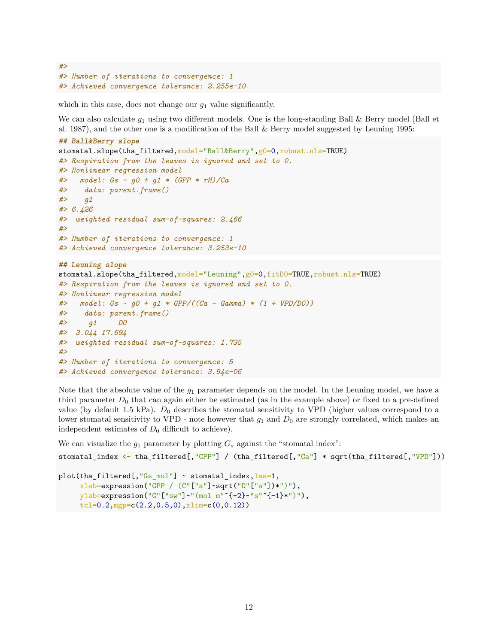```
#>
#> Number of iterations to convergence: 1
#> Achieved convergence tolerance: 2.255e-10
```
which in this case, does not change our  $q_1$  value significantly.

We can also calculate  $g_1$  using two different models. One is the long-standing Ball & Berry model (Ball et al. 1987), and the other one is a modification of the Ball & Berry model suggested by Leuning 1995:

```
## Ball&Berry slope
stomatal.slope(tha_filtered,model="Ball&Berry",g0=0,robust.nls=TRUE)
#> Respiration from the leaves is ignored and set to 0.
#> Nonlinear regression model
#> model: Gs ~ g0 + g1 * (GPP * rH)/Ca
#> data: parent.frame()
#> g1
#> 6.426
#> weighted residual sum-of-squares: 2.466
#>
#> Number of iterations to convergence: 1
#> Achieved convergence tolerance: 3.253e-10
## Leuning slope
stomatal.slope(tha_filtered,model="Leuning",g0=0,fitD0=TRUE,robust.nls=TRUE)
#> Respiration from the leaves is ignored and set to 0.
#> Nonlinear regression model
#> model: Gs ~ g0 + g1 * GPP/((Ca - Gamma) * (1 + VPD/D0))
#> data: parent.frame()
#> g1 D0
#> 3.044 17.694
#> weighted residual sum-of-squares: 1.735
#>
#> Number of iterations to convergence: 5
#> Achieved convergence tolerance: 3.94e-06
```
Note that the absolute value of the *g*<sup>1</sup> parameter depends on the model. In the Leuning model, we have a third parameter  $D_0$  that can again either be estimated (as in the example above) or fixed to a pre-defined value (by default 1.5 kPa).  $D_0$  describes the stomatal sensitivity to VPD (higher values correspond to a lower stomatal sensitivity to VPD - note however that  $g_1$  and  $D_0$  are strongly correlated, which makes an independent estimates of  $D_0$  difficult to achieve).

We can visualize the  $g_1$  parameter by plotting  $G_s$  against the "stomatal index":

```
stomatal_index <- tha_filtered[,"GPP"] / (tha_filtered[,"Ca"] * sqrt(tha_filtered[,"VPD"]))
```

```
plot(tha_filtered[,"Gs_mol"] ~ stomatal_index, las=1,
     xlab=expression("GPP / (C"["a"]~sqrt("D"["a"])*")"),
     ylab=expression("G"["sw"]~"(mol m"ˆ{-2}~"s"ˆ{-1}*")"),
     tcl=0.2,mgp=c(2.2,0.5,0),xlim=c(0,0.12))
```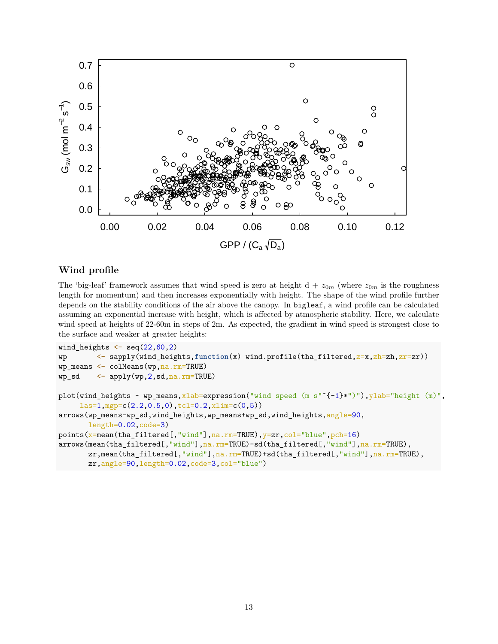

## **Wind profile**

The 'big-leaf' framework assumes that wind speed is zero at height  $d + z_{0m}$  (where  $z_{0m}$  is the roughness length for momentum) and then increases exponentially with height. The shape of the wind profile further depends on the stability conditions of the air above the canopy. In bigleaf, a wind profile can be calculated assuming an exponential increase with height, which is affected by atmospheric stability. Here, we calculate wind speed at heights of 22-60m in steps of 2m. As expected, the gradient in wind speed is strongest close to the surface and weaker at greater heights:

```
wind_heights \leq seq(22,60,2)
wp 
<- sapply(wind_heights,function(x) wind.profile(tha_filtered,z=x,zh=zh,zr=zr))
wp_means <- colMeans(wp,na.rm=TRUE)
wp_sd <- applywp, 2, sd, na.rm=TRUE)plot(wind_heights ~ wp_means,xlab=expression("wind speed (m s"^{-1}*")"), ylab="height (m)",
     las=1,mgp=c(2.2,0.5,0),tcl=0.2,xlim=c(0,5))
arrows(wp_means-wp_sd,wind_heights,wp_means+wp_sd,wind_heights,angle=90,
       length=0.02,code=3)
points(x=mean(tha_filtered[,"wind"],na.rm=TRUE),y=zr,col="blue",pch=16)
arrows(mean(tha_filtered[,"wind"],na.rm=TRUE)-sd(tha_filtered[,"wind"],na.rm=TRUE),
       zr,mean(tha_filtered[,"wind"],na.rm=TRUE)+sd(tha_filtered[,"wind"],na.rm=TRUE),
       zr,angle=90,length=0.02,code=3,col="blue")
```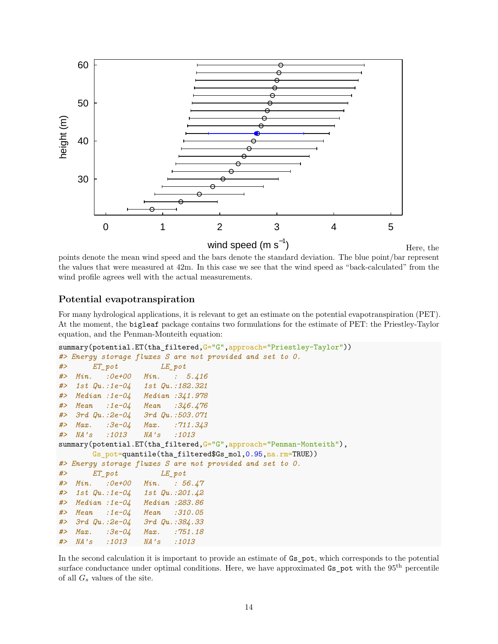

points denote the mean wind speed and the bars denote the standard deviation. The blue point/bar represent the values that were measured at 42m. In this case we see that the wind speed as "back-calculated" from the wind profile agrees well with the actual measurements.

## **Potential evapotranspiration**

For many hydrological applications, it is relevant to get an estimate on the potential evapotranspiration (PET). At the moment, the bigleaf package contains two formulations for the estimate of PET: the Priestley-Taylor equation, and the Penman-Monteith equation:

```
summary(potential.ET(tha_filtered,G="G",approach="Priestley-Taylor"))
#> Energy storage fluxes S are not provided and set to 0.
#> ET_pot LE_pot
#> Min. :0e+00 Min. : 5.416
#> 1st Qu.:1e-04 1st Qu.:182.321
#> Median :1e-04 Median :341.978
#> Mean :1e-04 Mean :346.476
#> 3rd Qu.:2e-04 3rd Qu.:503.071
#> Max. :3e-04 Max. :711.343
#> NA's :1013 NA's :1013
summary(potential.ET(tha_filtered,G="G",approach="Penman-Monteith"),
       Gs_pot=quantile(tha_filtered$Gs_mol,0.95,na.rm=TRUE))
#> Energy storage fluxes S are not provided and set to 0.
#> ET_pot LE_pot
#> Min. :0e+00 Min. : 56.47
#> 1st Qu.:1e-04 1st Qu.:201.42
#> Median :1e-04 Median :283.86
#> Mean :1e-04 Mean :310.05
#> 3rd Qu.:2e-04 3rd Qu.:384.33
#> Max. :3e-04 Max. :751.18
#> NA's :1013 NA's :1013
```
In the second calculation it is important to provide an estimate of Gs\_pot, which corresponds to the potential surface conductance under optimal conditions. Here, we have approximated Gs\_pot with the 95<sup>th</sup> percentile of all *G<sup>s</sup>* values of the site.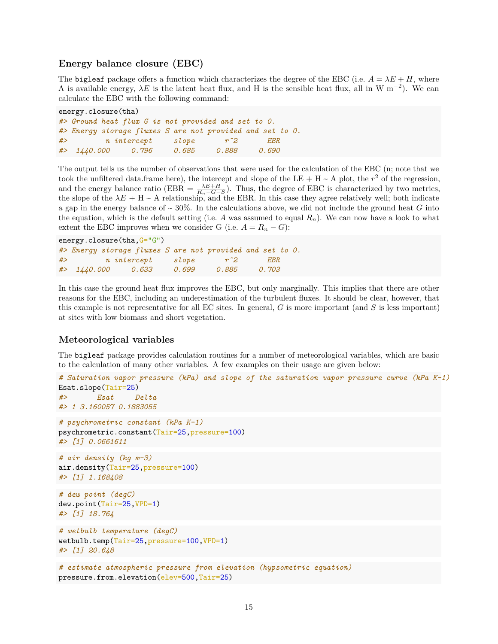### **Energy balance closure (EBC)**

The bigleaf package offers a function which characterizes the degree of the EBC (i.e.  $A = \lambda E + H$ , where A is available energy,  $\lambda E$  is the latent heat flux, and H is the sensible heat flux, all in W m<sup>-2</sup>). We can calculate the EBC with the following command:

```
energy.closure(tha)
#> Ground heat flux G is not provided and set to 0.
#> Energy storage fluxes S are not provided and set to 0.
#> n intercept slope rˆ2 EBR
#> 1440.000 0.796 0.685 0.888 0.690
```
The output tells us the number of observations that were used for the calculation of the EBC (n; note that we took the unfiltered data.frame here), the intercept and slope of the LE + H  $\sim$  A plot, the  $r^2$  of the regression, and the energy balance ratio (EBR =  $\frac{\lambda E+H}{R_n-G-S}$ ). Thus, the degree of EBC is characterized by two metrics, the slope of the  $\lambda E + H \sim A$  relationship, and the EBR. In this case they agree relatively well; both indicate a gap in the energy balance of  $\sim 30\%$ . In the calculations above, we did not include the ground heat *G* into the equation, which is the default setting (i.e. A was assumed to equal  $R_n$ ). We can now have a look to what extent the EBC improves when we consider G (i.e.  $A = R_n - G$ ):

```
energy.closure(tha, G="G")
#> Energy storage fluxes S are not provided and set to 0.
#> n intercept slope rˆ2 EBR
#> 1440.000 0.633 0.699 0.885 0.703
```
In this case the ground heat flux improves the EBC, but only marginally. This implies that there are other reasons for the EBC, including an underestimation of the turbulent fluxes. It should be clear, however, that this example is not representative for all EC sites. In general, *G* is more important (and *S* is less important) at sites with low biomass and short vegetation.

## **Meteorological variables**

The bigleaf package provides calculation routines for a number of meteorological variables, which are basic to the calculation of many other variables. A few examples on their usage are given below:

```
# Saturation vapor pressure (kPa) and slope of the saturation vapor pressure curve (kPa K-1)
Esat.slope(Tair=25)
#> Esat Delta
#> 1 3.160057 0.1883055
# psychrometric constant (kPa K-1)
psychrometric.constant(Tair=25,pressure=100)
#> [1] 0.0661611
# air density (kg m-3)
air.density(Tair=25,pressure=100)
#> [1] 1.168408
# dew point (degC)
dew.point(Tair=25,VPD=1)
#> [1] 18.764
# wetbulb temperature (degC)
wetbulb.temp(Tair=25,pressure=100,VPD=1)
#> [1] 20.648
# estimate atmospheric pressure from elevation (hypsometric equation)
```

```
pressure.from.elevation(elev=500,Tair=25)
```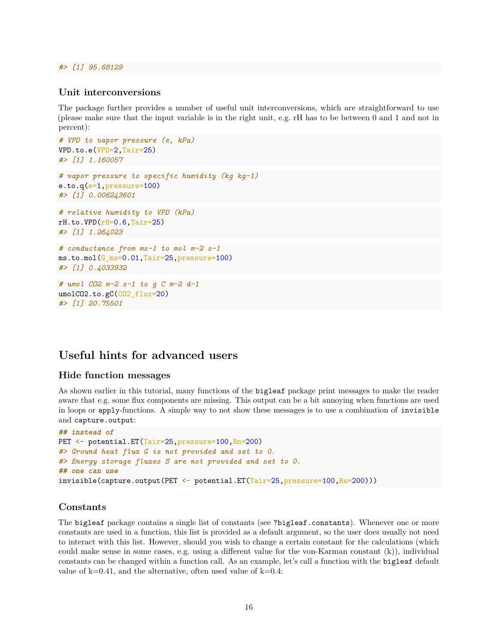## *#> [1] 95.68129*

#### **Unit interconversions**

The package further provides a number of useful unit interconversions, which are straightforward to use (please make sure that the input variable is in the right unit, e.g. rH has to be between 0 and 1 and not in percent):

```
# VPD to vapor pressure (e, kPa)
VPD.to.e(VPD=2,Tair=25)
#> [1] 1.160057
# vapor pressure to specific humidity (kg kg-1)
e.to.q(e=1,pressure=100)
#> [1] 0.006243601
# relative humidity to VPD (kPa)
rH.to.VPD(rH=0.6, Tair=25)#> [1] 1.264023
# conductance from ms-1 to mol m-2 s-1
ms.to.mol(G_ms=0.01,Tair=25,pressure=100)
#> [1] 0.4033932
# umol CO2 m-2 s-1 to g C m-2 d-1
umolCO2.to.gC(CO2 flux=20)
```
# **Useful hints for advanced users**

### **Hide function messages**

*#> [1] 20.75501*

As shown earlier in this tutorial, many functions of the bigleaf package print messages to make the reader aware that e.g. some flux components are missing. This output can be a bit annoying when functions are used in loops or apply-functions. A simple way to not show these messages is to use a combination of invisible and capture.output:

```
## instead of
PET <- potential.ET(Tair=25,pressure=100,Rn=200)
#> Ground heat flux G is not provided and set to 0.
#> Energy storage fluxes S are not provided and set to 0.
## one can use
invisible(capture.output(PET <- potential.ET(Tair=25, pressure=100, Rn=200)))
```
## **Constants**

The bigleaf package contains a single list of constants (see ?bigleaf.constants). Whenever one or more constants are used in a function, this list is provided as a default argument, so the user does usually not need to interact with this list. However, should you wish to change a certain constant for the calculations (which could make sense in some cases, e.g. using a different value for the von-Karman constant (k)), individual constants can be changed within a function call. As an example, let's call a function with the bigleaf default value of  $k=0.41$ , and the alternative, often used value of  $k=0.4$ :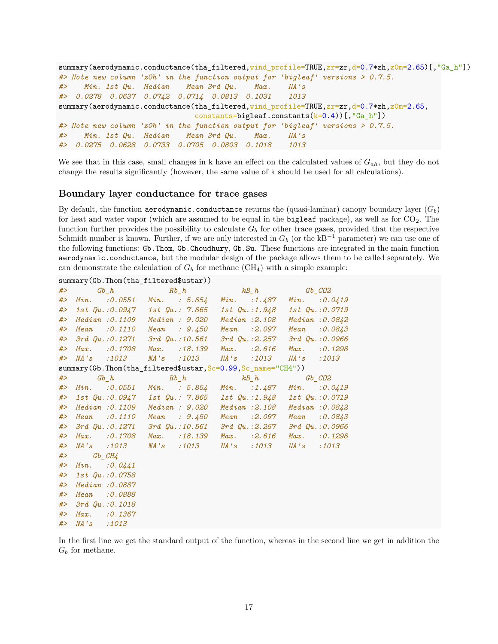```
summary(aerodynamic.conductance(tha_filtered,wind_profile=TRUE,zr=zr,d=0.7*zh,z0m=2.65)[,"Ga_h"])
#> Note new column 'z0h' in the function output for 'bigleaf' versions > 0.7.5.
#> Min. 1st Qu. Median Mean 3rd Qu. Max. NA's
#> 0.0278 0.0637 0.0742 0.0714 0.0813 0.1031 1013
summary(aerodynamic.conductance(tha_filtered,wind_profile=TRUE,zr=zr,d=0.7*zh,z0m=2.65,
                              constants=bigleaf.constants(k=0.4))[,"Ga_h"])
#> Note new column 'z0h' in the function output for 'bigleaf' versions > 0.7.5.
#> Min. 1st Qu. Median Mean 3rd Qu. Max. NA's
#> 0.0275 0.0628 0.0733 0.0705 0.0803 0.1018 1013
```
We see that in this case, small changes in k have an effect on the calculated values of *Gah*, but they do not change the results significantly (however, the same value of k should be used for all calculations).

#### **Boundary layer conductance for trace gases**

By default, the function aerodynamic.conductance returns the (quasi-laminar) canopy boundary layer  $(G_b)$ for heat and water vapor (which are assumed to be equal in the bigleaf package), as well as for  $CO<sub>2</sub>$ . The function further provides the possibility to calculate  $G<sub>b</sub>$  for other trace gases, provided that the respective Schmidt number is known. Further, if we are only interested in  $G_b$  (or the kB<sup>-1</sup> parameter) we can use one of the following functions: Gb.Thom, Gb.Choudhury, Gb.Su. These functions are integrated in the main function aerodynamic.conductance, but the modular design of the package allows them to be called separately. We can demonstrate the calculation of  $G_b$  for methane  $(CH_4)$  with a simple example:

|       |                 | summary(Gb.Thom(tha_filtered\$ustar)) |                                                                           |                 |                   |                      |
|-------|-----------------|---------------------------------------|---------------------------------------------------------------------------|-----------------|-------------------|----------------------|
| # $>$ |                 | $Gb$ $h$                              | $Rb_ h$                                                                   | $kB_h$ $Gb_CO2$ |                   |                      |
| #>    |                 |                                       | Min. : 0.0551 Min. : 5.854 Min. : 1.487 Min.                              |                 |                   | : 0.0419             |
| #>    |                 |                                       | 1st $Qu. : 0.0947$ 1st $Qu. : 7.865$ 1st $Qu. : 1.948$ 1st $Qu. : 0.0719$ |                 |                   |                      |
| #>    |                 |                                       | Median : 0.1109 Median : 9.020 Median : 2.108 Median : 0.0842             |                 |                   |                      |
| #>    |                 | Mean : $0.1110$ Mean : $9.450$        |                                                                           | Mean :2.097     |                   | Mean : 0.0843        |
| #>    |                 |                                       | $3rd$ Qu.: $0.1271$ $3rd$ Qu.: $10.561$ $3rd$ Qu.: $2.257$                |                 |                   | $3rd$ $Qu.:0.0966$   |
| #>    |                 |                                       | Max. : 0.1708 Max. : 18.139 Max. : 2.616                                  |                 | $Max.$ : 0.1298   |                      |
| # $>$ |                 |                                       | NA's :1013 NA's :1013 NA's :1013                                          |                 | <i>NA's</i> :1013 |                      |
|       |                 |                                       | summary(Gb.Thom(tha_filtered\$ustar,Sc=0.99,Sc_name="CH4"))               |                 |                   |                      |
| #>    |                 | $Gb_{n}$ $h$                          | $Rb_h$ $kB_h$ $Gb_CO2$                                                    |                 |                   |                      |
| #>    |                 |                                       | Min. : 0.0551 Min. : 5.854 Min. : 1.487 Min. : 0.0419                     |                 |                   |                      |
| #>    |                 |                                       | 1st $Qu. : 0.0947$ 1st $Qu. : 7.865$ 1st $Qu. : 1.948$ 1st $Qu. : 0.0719$ |                 |                   |                      |
| #>    |                 | Median :0.1109                        | Median : 9.020                                                            | Median : 2.108  |                   | Median: 0.0842       |
| #>    |                 | $Mean$ : $0.1110$                     | $Mean \t3.450$                                                            | Mean :2.097     | Mean : 0.0843     |                      |
| #     |                 |                                       | $3rd$ Qu.: $0.1271$ $3rd$ Qu.: $10.561$ $3rd$ Qu.: $2.257$                |                 |                   | $3rd$ $Qu. : 0.0966$ |
| #     |                 | Max. 30.1708                          | Max. : 18.139                                                             | $Max.$ :2.616   | Max. : 0.1298     |                      |
| #>    |                 |                                       | NA's :1013 NA's :1013 NA's :1013                                          |                 | <i>NA's</i> :1013 |                      |
| #>    | $Gb$ $CH4$      |                                       |                                                                           |                 |                   |                      |
| #>    | $Min.$ : 0.0441 |                                       |                                                                           |                 |                   |                      |
| #>    |                 | 1st Qu.:0.0758                        |                                                                           |                 |                   |                      |
| #>    |                 | Median : 0.0887                       |                                                                           |                 |                   |                      |
| #>    |                 | Mean : 0.0888                         |                                                                           |                 |                   |                      |
| #>    |                 | $3rd$ $Qu. : 0.1018$                  |                                                                           |                 |                   |                      |
| #>    |                 | $Max.$ : 0.1367                       |                                                                           |                 |                   |                      |
| #>    | NA's :1013      |                                       |                                                                           |                 |                   |                      |

In the first line we get the standard output of the function, whereas in the second line we get in addition the *G<sup>b</sup>* for methane.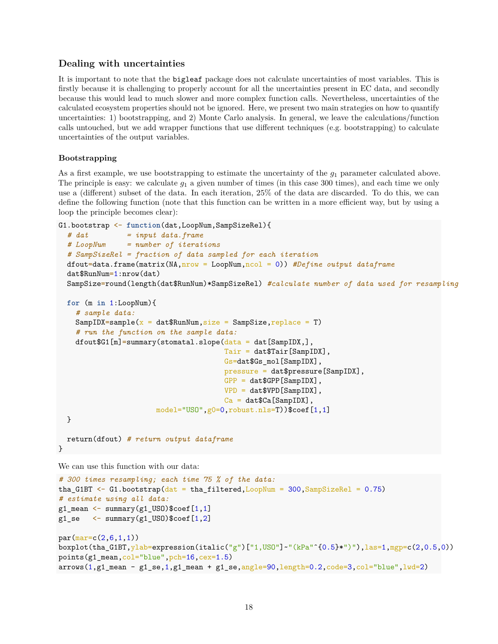### **Dealing with uncertainties**

It is important to note that the bigleaf package does not calculate uncertainties of most variables. This is firstly because it is challenging to properly account for all the uncertainties present in EC data, and secondly because this would lead to much slower and more complex function calls. Nevertheless, uncertainties of the calculated ecosystem properties should not be ignored. Here, we present two main strategies on how to quantify uncertainties: 1) bootstrapping, and 2) Monte Carlo analysis. In general, we leave the calculations/function calls untouched, but we add wrapper functions that use different techniques (e.g. bootstrapping) to calculate uncertainties of the output variables.

#### **Bootstrapping**

As a first example, we use bootstrapping to estimate the uncertainty of the *g*<sup>1</sup> parameter calculated above. The principle is easy: we calculate  $g_1$  a given number of times (in this case 300 times), and each time we only use a (different) subset of the data. In each iteration, 25% of the data are discarded. To do this, we can define the following function (note that this function can be written in a more efficient way, but by using a loop the principle becomes clear):

```
G1.bootstrap <- function(dat,LoopNum,SampSizeRel){
```

```
# dat = input data.frame
# LoopNum = number of iterations
# SampSizeRel = fraction of data sampled for each iteration
dfout=data.frame(matrix(NA,nrow = LoopNum,ncol = 0)) #Define output dataframe
dat$RunNum=1:nrow(dat)
SampSize=round(length(dat$RunNum)*SampSizeRel) #calculate number of data used for resampling
```

```
for (m in 1:LoopNum){
```

```
# sample data:
 SampIDX=sample(x = dataRunNum, size = SampSize, replace = T)
  # run the function on the sample data:
 dfout$G1[m]=summary(stomatal.slope(data = dat[SampIDX,],
                                     Tair = dat$Tair[SampIDX],
                                     Gs=dat$Gs_mol[SampIDX],
                                     pressure = dat$pressure[SampIDX],
                                     GPP = dat$GPP[SampIDX],
                                     VPD = dat$VPD[SampIDX],
                                     Ca = datCa[SampIDX],
                     model="USO",g0=0,robust.nls=T))$coef[1,1]
}
```
return(dfout) *# return output dataframe* }

We can use this function with our data:

```
# 300 times resampling; each time 75 % of the data:
tha G1BT \leq G1.bootstrap(dat = tha filtered,LoopNum = 300,SampSizeRel = 0.75)
# estimate using all data:
g1_mean <- summary(g1_USO)$coef[1,1]
g1_se \leftarrow summary(g1_USO)$coef[1,2]
par(max=c(2,6,1,1))boxplot(tha_G1BT,ylab=expression(italic("g")["1,USO"]~"(kPa"ˆ{0.5}*")"),las=1,mgp=c(2,0.5,0))
points(g1_mean,col="blue",pch=16,cex=1.5)
arrows(1,g1_mean - g1_se,1,g1_mean + g1_se,angle=90, length=0.2, code=3, col="blue", lwd=2)
```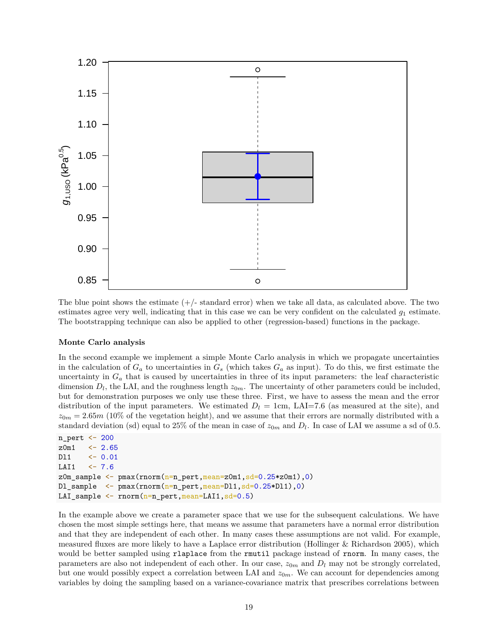

The blue point shows the estimate  $(+)$ -standard error) when we take all data, as calculated above. The two estimates agree very well, indicating that in this case we can be very confident on the calculated  $g_1$  estimate. The bootstrapping technique can also be applied to other (regression-based) functions in the package.

#### **Monte Carlo analysis**

In the second example we implement a simple Monte Carlo analysis in which we propagate uncertainties in the calculation of  $G_a$  to uncertainties in  $G_s$  (which takes  $G_a$  as input). To do this, we first estimate the uncertainty in  $G_a$  that is caused by uncertainties in three of its input parameters: the leaf characteristic dimension  $D_l$ , the LAI, and the roughness length  $z_{0m}$ . The uncertainty of other parameters could be included, but for demonstration purposes we only use these three. First, we have to assess the mean and the error distribution of the input parameters. We estimated  $D_l = 1$ cm, LAI=7.6 (as measured at the site), and  $z_{0m} = 2.65m$  (10% of the vegetation height), and we assume that their errors are normally distributed with a standard deviation (sd) equal to 25% of the mean in case of  $z_{0m}$  and  $D_l$ . In case of LAI we assume a sd of 0.5.

```
n_pert <- 200
z0m1 <- 2.65
Dl1 <- 0.01
LAI1 <- 7.6
z0m_sample <- pmax(rnorm(n=n_pert,mean=z0m1,sd=0.25*z0m1),0)
Dl_sample <- pmax(rnorm(n=n_pert,mean=Dl1,sd=0.25*Dl1),0)
LAI_sample <- rnorm(n=n_pert,mean=LAI1,sd=0.5)
```
In the example above we create a parameter space that we use for the subsequent calculations. We have chosen the most simple settings here, that means we assume that parameters have a normal error distribution and that they are independent of each other. In many cases these assumptions are not valid. For example, measured fluxes are more likely to have a Laplace error distribution (Hollinger & Richardson 2005), which would be better sampled using rlaplace from the rmutil package instead of rnorm. In many cases, the parameters are also not independent of each other. In our case,  $z_{0m}$  and  $D_l$  may not be strongly correlated, but one would possibly expect a correlation between LAI and  $z_{0m}$ . We can account for dependencies among variables by doing the sampling based on a variance-covariance matrix that prescribes correlations between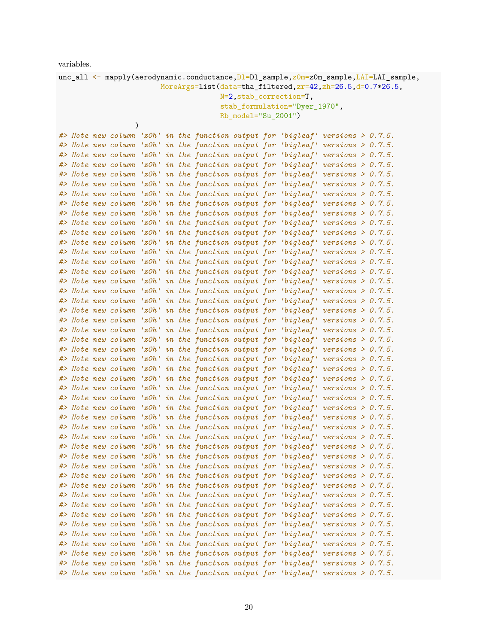variables.

| $unc\_all \leq$ mapply(aerodynamic.conductance, D1=D1_sample, $z0m$ = $z0m$ _sample, LAI=LAI_sample, |                                                                                    |  |  |  |  |  |  |  |  |  |  |  |
|------------------------------------------------------------------------------------------------------|------------------------------------------------------------------------------------|--|--|--|--|--|--|--|--|--|--|--|
| MoreArgs=list(data=tha_filtered, zr=42, zh=26.5, d=0.7*26.5,                                         |                                                                                    |  |  |  |  |  |  |  |  |  |  |  |
| N=2, stab_correction=T,                                                                              |                                                                                    |  |  |  |  |  |  |  |  |  |  |  |
|                                                                                                      | stab_formulation="Dyer_1970",                                                      |  |  |  |  |  |  |  |  |  |  |  |
|                                                                                                      | $Rb_{model}="Su_{2001"$                                                            |  |  |  |  |  |  |  |  |  |  |  |
| $\mathcal{E}$                                                                                        |                                                                                    |  |  |  |  |  |  |  |  |  |  |  |
|                                                                                                      | #> Note new column 'zOh' in the function output for 'bigleaf' versions > 0.7.5.    |  |  |  |  |  |  |  |  |  |  |  |
|                                                                                                      | #> Note new column 'zOh' in the function output for 'bigleaf' versions > 0.7.5.    |  |  |  |  |  |  |  |  |  |  |  |
|                                                                                                      | #> Note new column 'zOh' in the function output for 'bigleaf' versions > 0.7.5.    |  |  |  |  |  |  |  |  |  |  |  |
|                                                                                                      | #> Note new column 'zOh' in the function output for 'bigleaf' versions > 0.7.5.    |  |  |  |  |  |  |  |  |  |  |  |
|                                                                                                      | #> Note new column 'zOh' in the function output for 'bigleaf' versions > 0.7.5.    |  |  |  |  |  |  |  |  |  |  |  |
|                                                                                                      | #> Note new column 'zOh' in the function output for 'bigleaf' versions > 0.7.5.    |  |  |  |  |  |  |  |  |  |  |  |
|                                                                                                      | #> Note new column 'zOh' in the function output for 'bigleaf' versions > 0.7.5.    |  |  |  |  |  |  |  |  |  |  |  |
|                                                                                                      | #> Note new column 'zOh' in the function output for 'bigleaf' versions > 0.7.5.    |  |  |  |  |  |  |  |  |  |  |  |
|                                                                                                      | #> Note new column 'zOh' in the function output for 'bigleaf' versions > 0.7.5.    |  |  |  |  |  |  |  |  |  |  |  |
|                                                                                                      | #> Note new column 'zOh' in the function output for 'bigleaf' versions > 0.7.5.    |  |  |  |  |  |  |  |  |  |  |  |
|                                                                                                      | #> Note new column 'zOh' in the function output for 'bigleaf' versions > 0.7.5.    |  |  |  |  |  |  |  |  |  |  |  |
|                                                                                                      | #> Note new column 'zOh' in the function output for 'bigleaf' versions > 0.7.5.    |  |  |  |  |  |  |  |  |  |  |  |
|                                                                                                      | #> Note new column 'zOh' in the function output for 'bigleaf' versions > 0.7.5.    |  |  |  |  |  |  |  |  |  |  |  |
|                                                                                                      | #> Note new column 'zOh' in the function output for 'bigleaf' versions > 0.7.5.    |  |  |  |  |  |  |  |  |  |  |  |
|                                                                                                      | #> Note new column 'zOh' in the function output for 'bigleaf' versions > 0.7.5.    |  |  |  |  |  |  |  |  |  |  |  |
|                                                                                                      | #> Note new column 'zOh' in the function output for 'bigleaf' versions > 0.7.5.    |  |  |  |  |  |  |  |  |  |  |  |
|                                                                                                      | #> Note new column 'zOh' in the function output for 'bigleaf' versions > 0.7.5.    |  |  |  |  |  |  |  |  |  |  |  |
|                                                                                                      | #> Note new column 'zOh' in the function output for 'bigleaf' versions > 0.7.5.    |  |  |  |  |  |  |  |  |  |  |  |
|                                                                                                      | #> Note new column 'zOh' in the function output for 'bigleaf' versions > 0.7.5.    |  |  |  |  |  |  |  |  |  |  |  |
|                                                                                                      | #> Note new column 'zOh' in the function output for 'bigleaf' versions > 0.7.5.    |  |  |  |  |  |  |  |  |  |  |  |
|                                                                                                      | #> Note new column 'zOh' in the function output for 'bigleaf' versions > 0.7.5.    |  |  |  |  |  |  |  |  |  |  |  |
|                                                                                                      | #> Note new column 'zOh' in the function output for 'bigleaf' versions > 0.7.5.    |  |  |  |  |  |  |  |  |  |  |  |
|                                                                                                      | #> Note new column 'zOh' in the function output for 'bigleaf' versions > 0.7.5.    |  |  |  |  |  |  |  |  |  |  |  |
|                                                                                                      | #> Note new column 'zOh' in the function output for 'bigleaf' versions > $0.7.5$ . |  |  |  |  |  |  |  |  |  |  |  |
|                                                                                                      | #> Note new column 'zOh' in the function output for 'bigleaf' versions > $0.7.5$ . |  |  |  |  |  |  |  |  |  |  |  |
|                                                                                                      | #> Note new column 'zOh' in the function output for 'bigleaf' versions > 0.7.5.    |  |  |  |  |  |  |  |  |  |  |  |
|                                                                                                      | #> Note new column 'zOh' in the function output for 'bigleaf' versions > 0.7.5.    |  |  |  |  |  |  |  |  |  |  |  |
|                                                                                                      | #> Note new column 'zOh' in the function output for 'bigleaf' versions > $0.7.5$ . |  |  |  |  |  |  |  |  |  |  |  |
|                                                                                                      | #> Note new column 'zOh' in the function output for 'bigleaf' versions > $0.7.5$ . |  |  |  |  |  |  |  |  |  |  |  |
|                                                                                                      | #> Note new column 'zOh' in the function output for 'bigleaf' versions > 0.7.5.    |  |  |  |  |  |  |  |  |  |  |  |
|                                                                                                      | #> Note new column 'zOh' in the function output for 'bigleaf' versions > 0.7.5.    |  |  |  |  |  |  |  |  |  |  |  |
|                                                                                                      | #> Note new column 'zOh' in the function output for 'bigleaf' versions > 0.7.5.    |  |  |  |  |  |  |  |  |  |  |  |
|                                                                                                      | #> Note new column 'zOh' in the function output for 'bigleaf' versions > 0.7.5.    |  |  |  |  |  |  |  |  |  |  |  |
|                                                                                                      | #> Note new column 'zOh' in the function output for 'bigleaf' versions > 0.7.5.    |  |  |  |  |  |  |  |  |  |  |  |
|                                                                                                      | #> Note new column 'zOh' in the function output for 'bigleaf' versions > 0.7.5.    |  |  |  |  |  |  |  |  |  |  |  |
|                                                                                                      | #> Note new column 'zOh' in the function output for 'bigleaf' versions > 0.7.5.    |  |  |  |  |  |  |  |  |  |  |  |
|                                                                                                      | #> Note new column 'zOh' in the function output for 'bigleaf' versions > 0.7.5.    |  |  |  |  |  |  |  |  |  |  |  |
|                                                                                                      | #> Note new column 'zOh' in the function output for 'bigleaf' versions > 0.7.5.    |  |  |  |  |  |  |  |  |  |  |  |
|                                                                                                      | #> Note new column 'zOh' in the function output for 'bigleaf' versions > 0.7.5.    |  |  |  |  |  |  |  |  |  |  |  |
|                                                                                                      | #> Note new column 'zOh' in the function output for 'bigleaf' versions > 0.7.5.    |  |  |  |  |  |  |  |  |  |  |  |
|                                                                                                      | #> Note new column 'zOh' in the function output for 'bigleaf' versions > 0.7.5.    |  |  |  |  |  |  |  |  |  |  |  |
|                                                                                                      | #> Note new column 'zOh' in the function output for 'bigleaf' versions > 0.7.5.    |  |  |  |  |  |  |  |  |  |  |  |
|                                                                                                      | #> Note new column 'zOh' in the function output for 'bigleaf' versions > 0.7.5.    |  |  |  |  |  |  |  |  |  |  |  |
|                                                                                                      | #> Note new column 'zOh' in the function output for 'bigleaf' versions > 0.7.5.    |  |  |  |  |  |  |  |  |  |  |  |
|                                                                                                      | #> Note new column 'zOh' in the function output for 'bigleaf' versions > 0.7.5.    |  |  |  |  |  |  |  |  |  |  |  |
|                                                                                                      | #> Note new column 'zOh' in the function output for 'bigleaf' versions > 0.7.5.    |  |  |  |  |  |  |  |  |  |  |  |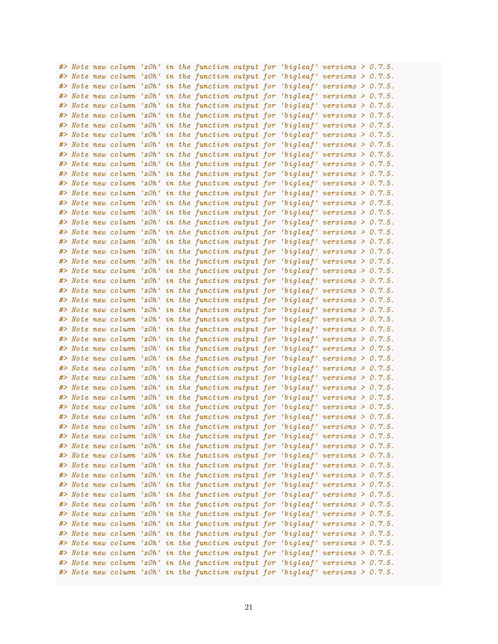|  | #> Note new column |       |  |  |  | 'zOh' in the function output for 'bigleaf' versions $> 0.7.5$ .    |  |
|--|--------------------|-------|--|--|--|--------------------------------------------------------------------|--|
|  | #> Note new column |       |  |  |  | 'z $Oh'$ in the function output for 'bigleaf' versions > $0.7.5$ . |  |
|  | #> Note new column |       |  |  |  | 'zOh' in the function output for 'bigleaf' versions $> 0.7.5$ .    |  |
|  | #> Note new column |       |  |  |  | 'zOh' in the function output for 'bigleaf' versions $> 0.7.5$ .    |  |
|  | #> Note new column |       |  |  |  | 'zOh' in the function output for 'bigleaf' versions $> 0.7.5$ .    |  |
|  | #> Note new column |       |  |  |  | 'zOh' in the function output for 'bigleaf' versions $> 0.7.5$ .    |  |
|  | #> Note new column |       |  |  |  | 'zOh' in the function output for 'bigleaf' versions $> 0.7.5$ .    |  |
|  | #> Note new column |       |  |  |  | 'zOh' in the function output for 'bigleaf' versions $> 0.7.5$ .    |  |
|  | #> Note new column |       |  |  |  | 'zOh' in the function output for 'bigleaf' versions $> 0.7.5$ .    |  |
|  | #> Note new column |       |  |  |  | 'zOh' in the function output for 'bigleaf' versions $> 0.7.5$ .    |  |
|  | #> Note new column |       |  |  |  | 'zOh' in the function output for 'bigleaf' versions $> 0.7.5$ .    |  |
|  | #> Note new column |       |  |  |  | 'zOh' in the function output for 'bigleaf' versions $> 0.7.5$ .    |  |
|  | #> Note new column |       |  |  |  | 'zOh' in the function output for 'bigleaf' versions $> 0.7.5$ .    |  |
|  |                    |       |  |  |  |                                                                    |  |
|  | #> Note new column |       |  |  |  | 'z $Oh'$ in the function output for 'bigleaf' versions > $0.7.5$ . |  |
|  | #> Note new column |       |  |  |  | 'zOh' in the function output for 'bigleaf' versions $> 0.7.5$ .    |  |
|  | #> Note new column |       |  |  |  | 'zOh' in the function output for 'bigleaf' versions $> 0.7.5$ .    |  |
|  | #> Note new column |       |  |  |  | 'zOh' in the function output for 'bigleaf' versions $> 0.7.5$ .    |  |
|  | #> Note new column |       |  |  |  | 'zOh' in the function output for 'bigleaf' versions $> 0.7.5$ .    |  |
|  | #> Note new column |       |  |  |  | 'zOh' in the function output for 'bigleaf' versions $> 0.7.5$ .    |  |
|  | #> Note new column |       |  |  |  | 'zOh' in the function output for 'bigleaf' versions $> 0.7.5$ .    |  |
|  | #> Note new column |       |  |  |  | 'zOh' in the function output for 'bigleaf' versions $> 0.7.5$ .    |  |
|  | #> Note new column |       |  |  |  | 'zOh' in the function output for 'bigleaf' versions $> 0.7.5$ .    |  |
|  | #> Note new column | 'z0h' |  |  |  | in the function output for 'bigleaf' versions $> 0.7.5$ .          |  |
|  | #> Note new column | 'z0h' |  |  |  | in the function output for 'bigleaf' versions $> 0.7.5$ .          |  |
|  | #> Note new column | 'z0h' |  |  |  | in the function output for 'bigleaf' versions $> 0.7.5$ .          |  |
|  | #> Note new column | 'z0h' |  |  |  | in the function output for 'bigleaf' versions $> 0.7.5$ .          |  |
|  | #> Note new column | 'z0h' |  |  |  | in the function output for 'bigleaf' versions $> 0.7.5$ .          |  |
|  | #> Note new column | 'z0h' |  |  |  | in the function output for 'bigleaf' versions $> 0.7.5$ .          |  |
|  | #> Note new column | 'z0h' |  |  |  | in the function output for 'bigleaf' versions $> 0.7.5$ .          |  |
|  | #> Note new column | 'z0h' |  |  |  | in the function output for 'bigleaf' versions $> 0.7.5$ .          |  |
|  | #> Note new column | 'z0h' |  |  |  | in the function output for 'bigleaf' versions $> 0.7.5$ .          |  |
|  | #> Note new column | 'z0h' |  |  |  | in the function output for 'bigleaf' versions $> 0.7.5$ .          |  |
|  | #> Note new column | 'z0h' |  |  |  | in the function output for 'bigleaf' versions $> 0.7.5$ .          |  |
|  | #> Note new column | 'z0h' |  |  |  | in the function output for 'bigleaf' versions $> 0.7.5$ .          |  |
|  | #> Note new column |       |  |  |  | 'zOh' in the function output for 'bigleaf' versions $> 0.7.5$ .    |  |
|  | #> Note new column |       |  |  |  | 'zOh' in the function output for 'bigleaf' versions $> 0.7.5$ .    |  |
|  | #> Note new column |       |  |  |  | 'zOh' in the function output for 'bigleaf' versions $> 0.7.5$ .    |  |
|  | #> Note new column |       |  |  |  | 'zOh' in the function output for 'bigleaf' versions $> 0.7.5$ .    |  |
|  | #> Note new column |       |  |  |  | 'z $Oh'$ in the function output for 'bigleaf' versions > $0.7.5$ . |  |
|  | #> Note new column |       |  |  |  | 'zOh' in the function output for 'bigleaf' versions $> 0.7.5$ .    |  |
|  | #> Note new column |       |  |  |  | 'zOh' in the function output for 'bigleaf' versions $> 0.7.5$ .    |  |
|  | #> Note new column |       |  |  |  | 'zOh' in the function output for 'bigleaf' versions $> 0.7.5$ .    |  |
|  | #> Note new column |       |  |  |  | 'zOh' in the function output for 'bigleaf' versions $> 0.7.5$ .    |  |
|  | #> Note new column |       |  |  |  | 'zOh' in the function output for 'bigleaf' versions $> 0.7.5$ .    |  |
|  | #> Note new column |       |  |  |  | 'zOh' in the function output for 'bigleaf' versions $> 0.7.5$ .    |  |
|  | #> Note new column |       |  |  |  | 'zOh' in the function output for 'bigleaf' versions $> 0.7.5$ .    |  |
|  | #> Note new column |       |  |  |  | 'zOh' in the function output for 'bigleaf' versions $> 0.7.5$ .    |  |
|  | #> Note new column |       |  |  |  | 'zOh' in the function output for 'bigleaf' versions $> 0.7.5$ .    |  |
|  | #> Note new column |       |  |  |  | 'zOh' in the function output for 'bigleaf' versions $> 0.7.5$ .    |  |
|  | #> Note new column |       |  |  |  | 'zOh' in the function output for 'bigleaf' versions $> 0.7.5$ .    |  |
|  | #> Note new column |       |  |  |  | 'zOh' in the function output for 'bigleaf' versions $> 0.7.5$ .    |  |
|  | #> Note new column |       |  |  |  | 'zOh' in the function output for 'bigleaf' versions $> 0.7.5$ .    |  |
|  | #> Note new column |       |  |  |  | 'zOh' in the function output for 'bigleaf' versions $> 0.7.5$ .    |  |
|  |                    |       |  |  |  |                                                                    |  |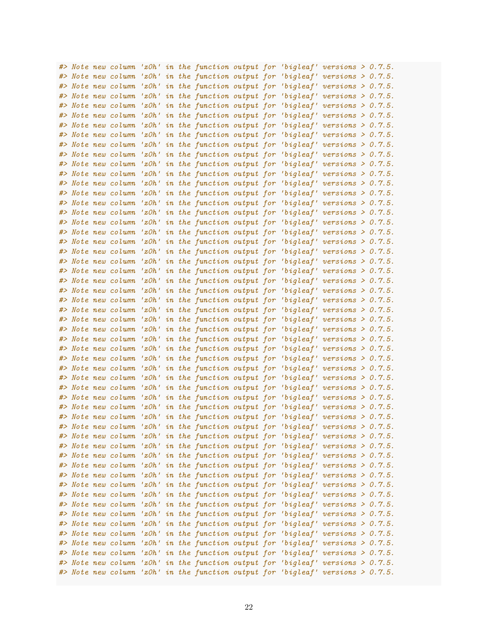|  | #> Note new column |       |  |  | 'z $Oh$ ' in the function output for 'bigleaf' versions > $0.7.5$ .                |  |  |
|--|--------------------|-------|--|--|------------------------------------------------------------------------------------|--|--|
|  | #> Note new column |       |  |  | 'zOh' in the function output for 'bigleaf' versions $> 0.7.5$ .                    |  |  |
|  | #> Note new column |       |  |  | 'zOh' in the function output for 'bigleaf' versions $> 0.7.5$ .                    |  |  |
|  | #> Note new column |       |  |  | 'zOh' in the function output for 'bigleaf' versions $> 0.7.5$ .                    |  |  |
|  | #> Note new column |       |  |  | 'zOh' in the function output for 'bigleaf' versions $> 0.7.5$ .                    |  |  |
|  | #> Note new column |       |  |  | 'z $Oh'$ in the function output for 'bigleaf' versions > $0.7.5$ .                 |  |  |
|  | #> Note new column |       |  |  | 'zOh' in the function output for 'bigleaf' versions $> 0.7.5$ .                    |  |  |
|  | #> Note new column |       |  |  | 'zOh' in the function output for 'bigleaf' versions $> 0.7.5$ .                    |  |  |
|  | #> Note new column |       |  |  | 'zOh' in the function output for 'bigleaf' versions $> 0.7.5$ .                    |  |  |
|  | #> Note new column |       |  |  | 'zOh' in the function output for 'bigleaf' versions $> 0.7.5$ .                    |  |  |
|  | #> Note new column |       |  |  | 'zOh' in the function output for 'bigleaf' versions $> 0.7.5$ .                    |  |  |
|  | #> Note new column |       |  |  | 'zOh' in the function output for 'bigleaf' versions $> 0.7.5$ .                    |  |  |
|  |                    |       |  |  |                                                                                    |  |  |
|  | #> Note new column |       |  |  | 'zOh' in the function output for 'bigleaf' versions $> 0.7.5$ .                    |  |  |
|  | #> Note new column |       |  |  | 'z $Oh'$ in the function output for 'bigleaf' versions > $0.7.5$ .                 |  |  |
|  | #> Note new column |       |  |  | 'zOh' in the function output for 'bigleaf' versions $> 0.7.5$ .                    |  |  |
|  | #> Note new column |       |  |  | 'zOh' in the function output for 'bigleaf' versions $> 0.7.5$ .                    |  |  |
|  | #> Note new column |       |  |  | 'zOh' in the function output for 'bigleaf' versions $> 0.7.5$ .                    |  |  |
|  | #> Note new column |       |  |  | 'zOh' in the function output for 'bigleaf' versions $> 0.7.5$ .                    |  |  |
|  | #> Note new column |       |  |  | 'zOh' in the function output for 'bigleaf' versions $> 0.7.5$ .                    |  |  |
|  | #> Note new column |       |  |  | 'zOh' in the function output for 'bigleaf' versions $> 0.7.5$ .                    |  |  |
|  | #> Note new column |       |  |  | 'zOh' in the function output for 'bigleaf' versions $> 0.7.5$ .                    |  |  |
|  | #> Note new column |       |  |  | 'zOh' in the function output for 'bigleaf' versions $> 0.7.5$ .                    |  |  |
|  | #> Note new column | 'zOh' |  |  | in the function output for 'bigleaf' versions $> 0.7.5$ .                          |  |  |
|  | #> Note new column | 'zOh' |  |  | in the function output for 'bigleaf' versions $> 0.7.5$ .                          |  |  |
|  | #> Note new column | 'zOh' |  |  | in the function output for 'bigleaf' versions $> 0.7.5$ .                          |  |  |
|  | #> Note new column | 'z0h' |  |  | in the function output for 'bigleaf' versions $> 0.7.5$ .                          |  |  |
|  | #> Note new column | 'z0h' |  |  | in the function output for 'bigleaf' versions $> 0.7.5$ .                          |  |  |
|  | #> Note new column | 'z0h' |  |  | in the function output for 'bigleaf' versions $> 0.7.5$ .                          |  |  |
|  | #> Note new column | 'z0h' |  |  | in the function output for 'bigleaf' versions $> 0.7.5$ .                          |  |  |
|  | #> Note new column | 'z0h' |  |  | in the function output for 'bigleaf' versions $> 0.7.5$ .                          |  |  |
|  | #> Note new column | 'z0h' |  |  | in the function output for 'bigleaf' versions $> 0.7.5$ .                          |  |  |
|  | #> Note new column | 'z0h' |  |  | in the function output for 'bigleaf' versions $> 0.7.5$ .                          |  |  |
|  | #> Note new column | 'z0h' |  |  | in the function output for 'bigleaf' versions $> 0.7.5$ .                          |  |  |
|  | #> Note new column |       |  |  | 'zOh' in the function output for 'bigleaf' versions $> 0.7.5$ .                    |  |  |
|  | #> Note new column |       |  |  | 'z $Oh'$ in the function output for 'bigleaf' versions > $0.7.5$ .                 |  |  |
|  | #> Note new column |       |  |  | 'zOh' in the function output for 'bigleaf' versions $> 0.7.5$ .                    |  |  |
|  | #> Note new column |       |  |  | 'zOh' in the function output for 'bigleaf' versions $> 0.7.5$ .                    |  |  |
|  |                    |       |  |  | #> Note new column 'zOh' in the function output for 'bigleaf' versions > $0.7.5$ . |  |  |
|  |                    |       |  |  | #> Note new column 'zOh' in the function output for 'bigleaf' versions > 0.7.5.    |  |  |
|  | #> Note new column |       |  |  | 'zOh' in the function output for 'bigleaf' versions $> 0.7.5$ .                    |  |  |
|  | #> Note new column |       |  |  | 'zOh' in the function output for 'bigleaf' versions $> 0.7.5$ .                    |  |  |
|  | #> Note new column |       |  |  | 'zOh' in the function output for 'bigleaf' versions $> 0.7.5$ .                    |  |  |
|  |                    |       |  |  |                                                                                    |  |  |
|  | #> Note new column |       |  |  | 'zOh' in the function output for 'bigleaf' versions $> 0.7.5$ .                    |  |  |
|  | #> Note new column |       |  |  | 'zOh' in the function output for 'bigleaf' versions $> 0.7.5$ .                    |  |  |
|  | #> Note new column |       |  |  | 'zOh' in the function output for 'bigleaf' versions $> 0.7.5$ .                    |  |  |
|  | #> Note new column |       |  |  | 'zOh' in the function output for 'bigleaf' versions $> 0.7.5$ .                    |  |  |
|  | #> Note new column |       |  |  | 'zOh' in the function output for 'bigleaf' versions $> 0.7.5$ .                    |  |  |
|  | #> Note new column |       |  |  | 'zOh' in the function output for 'bigleaf' versions $> 0.7.5$ .                    |  |  |
|  | #> Note new column |       |  |  | 'zOh' in the function output for 'bigleaf' versions $> 0.7.5$ .                    |  |  |
|  | #> Note new column |       |  |  | 'zOh' in the function output for 'bigleaf' versions $> 0.7.5$ .                    |  |  |
|  | #> Note new column |       |  |  | 'zOh' in the function output for 'bigleaf' versions $> 0.7.5$ .                    |  |  |
|  | #> Note new column |       |  |  | 'zOh' in the function output for 'bigleaf' versions $> 0.7.5$ .                    |  |  |
|  | #> Note new column |       |  |  | 'zOh' in the function output for 'bigleaf' versions $> 0.7.5$ .                    |  |  |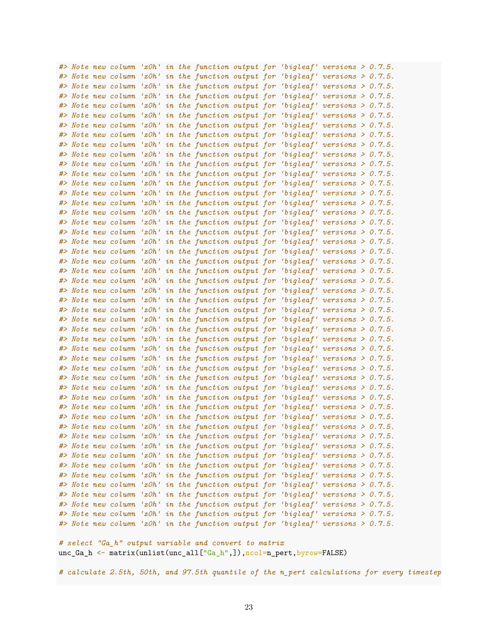|  |                                          |  |  |  | #> Note new column 'zOh' in the function output for 'bigleaf' versions > 0.7.5.                                                                       |  |  |
|--|------------------------------------------|--|--|--|-------------------------------------------------------------------------------------------------------------------------------------------------------|--|--|
|  | #> Note new column                       |  |  |  | 'zOh' in the function output for 'bigleaf' versions $> 0.7.5$ .                                                                                       |  |  |
|  | #> Note new column                       |  |  |  | 'zOh' in the function output for 'bigleaf' versions $> 0.7.5$ .                                                                                       |  |  |
|  | #> Note new column                       |  |  |  | 'zOh' in the function output for 'bigleaf' versions $> 0.7.5$ .                                                                                       |  |  |
|  | #> Note new column                       |  |  |  | 'zOh' in the function output for 'bigleaf' versions $> 0.7.5$ .                                                                                       |  |  |
|  | #> Note new column                       |  |  |  | 'zOh' in the function output for 'bigleaf' versions $> 0.7.5$ .                                                                                       |  |  |
|  | #> Note new column                       |  |  |  | 'zOh' in the function output for 'bigleaf' versions $> 0.7.5$ .                                                                                       |  |  |
|  | #> Note new column                       |  |  |  | 'zOh' in the function output for 'bigleaf' versions $> 0.7.5$ .                                                                                       |  |  |
|  | #> Note new column                       |  |  |  | 'zOh' in the function output for 'bigleaf' versions $> 0.7.5$ .                                                                                       |  |  |
|  | #> Note new column                       |  |  |  | 'zOh' in the function output for 'bigleaf' versions $> 0.7.5$ .                                                                                       |  |  |
|  | #> Note new column                       |  |  |  | 'zOh' in the function output for 'bigleaf' versions $> 0.7.5$ .                                                                                       |  |  |
|  | #> Note new column                       |  |  |  | 'zOh' in the function output for 'bigleaf' versions $> 0.7.5$ .                                                                                       |  |  |
|  | #> Note new column                       |  |  |  | 'zOh' in the function output for 'bigleaf' versions $> 0.7.5$ .                                                                                       |  |  |
|  | #> Note new column                       |  |  |  | 'zOh' in the function output for 'bigleaf' versions $> 0.7.5$ .                                                                                       |  |  |
|  | #> Note new column                       |  |  |  | 'zOh' in the function output for 'bigleaf' versions $> 0.7.5$ .                                                                                       |  |  |
|  | #> Note new column                       |  |  |  | 'zOh' in the function output for 'bigleaf' versions $> 0.7.5$ .                                                                                       |  |  |
|  | #> Note new column                       |  |  |  | 'zOh' in the function output for 'bigleaf' versions $> 0.7.5$ .                                                                                       |  |  |
|  | #> Note new column                       |  |  |  | 'zOh' in the function output for 'bigleaf' versions $> 0.7.5$ .                                                                                       |  |  |
|  | #> Note new column                       |  |  |  | 'zOh' in the function output for 'bigleaf' versions $> 0.7.5$ .                                                                                       |  |  |
|  | #> Note new column                       |  |  |  | 'zOh' in the function output for 'bigleaf' versions $> 0.7.5$ .                                                                                       |  |  |
|  | #> Note new column                       |  |  |  | 'zOh' in the function output for 'bigleaf' versions $> 0.7.5$ .                                                                                       |  |  |
|  | #> Note new column                       |  |  |  | 'zOh' in the function output for 'bigleaf' versions $> 0.7.5$ .                                                                                       |  |  |
|  | #> Note new column                       |  |  |  | 'zOh' in the function output for 'bigleaf' versions $> 0.7.5$ .                                                                                       |  |  |
|  | #> Note new column                       |  |  |  | 'z $Oh'$ in the function output for 'bigleaf' versions > $0.7.5$ .                                                                                    |  |  |
|  | #> Note new column                       |  |  |  | 'z $Oh'$ in the function output for 'bigleaf' versions > $0.7.5$ .                                                                                    |  |  |
|  | #> Note new column                       |  |  |  | 'zOh' in the function output for 'bigleaf' versions $> 0.7.5$ .                                                                                       |  |  |
|  | #> Note new column                       |  |  |  | 'zOh' in the function output for 'bigleaf' versions $> 0.7.5$ .                                                                                       |  |  |
|  | #> Note new column                       |  |  |  | 'zOh' in the function output for 'bigleaf' versions $> 0.7.5$ .                                                                                       |  |  |
|  | #> Note new column                       |  |  |  | 'zOh' in the function output for 'bigleaf' versions $> 0.7.5$ .                                                                                       |  |  |
|  | #> Note new column                       |  |  |  | 'zOh' in the function output for 'bigleaf' versions $> 0.7.5$ .                                                                                       |  |  |
|  | #> Note new column                       |  |  |  | 'zOh' in the function output for 'bigleaf' versions $> 0.7.5$ .                                                                                       |  |  |
|  | #> Note new column                       |  |  |  | 'zOh' in the function output for 'bigleaf' versions $> 0.7.5$ .                                                                                       |  |  |
|  | #> Note new column                       |  |  |  | 'zOh' in the function output for 'bigleaf' versions $> 0.7.5$ .                                                                                       |  |  |
|  | #> Note new column                       |  |  |  | 'z $Oh'$ in the function output for 'bigleaf' versions > $0.7.5$ .                                                                                    |  |  |
|  | #> Note new column                       |  |  |  | 'zOh' in the function output for 'bigleaf' versions $> 0.7.5$ .                                                                                       |  |  |
|  |                                          |  |  |  | #> Note new column 'zOh' in the function output for 'bigleaf' versions > 0.7.5.                                                                       |  |  |
|  |                                          |  |  |  | #> Note new column 'zOh' in the function output for 'bigleaf' versions > 0.7.5.                                                                       |  |  |
|  |                                          |  |  |  | #> Note new column 'zOh' in the function output for 'bigleaf' versions > 0.7.5.                                                                       |  |  |
|  |                                          |  |  |  | #> Note new column 'zOh' in the function output for 'bigleaf' versions > 0.7.5.                                                                       |  |  |
|  |                                          |  |  |  | #> Note new column 'zOh' in the function output for 'bigleaf' versions > 0.7.5.                                                                       |  |  |
|  |                                          |  |  |  | #> Note new column 'zOh' in the function output for 'bigleaf' versions > 0.7.5.                                                                       |  |  |
|  | #> Note new column                       |  |  |  | #> Note new column 'zOh' in the function output for 'bigleaf' versions > 0.7.5.                                                                       |  |  |
|  |                                          |  |  |  | 'z $Oh'$ in the function output for 'bigleaf' versions > $0.7.5$ .                                                                                    |  |  |
|  | #> Note new column<br>#> Note new column |  |  |  | 'zOh' in the function output for 'bigleaf' versions $> 0.7.5$ .                                                                                       |  |  |
|  | #> Note new column                       |  |  |  | 'zOh' in the function output for 'bigleaf' versions $> 0.7.5$ .                                                                                       |  |  |
|  |                                          |  |  |  | 'z $Oh'$ in the function output for 'bigleaf' versions > $0.7.5$ .<br>#> Note new column 'zOh' in the function output for 'bigleaf' versions > 0.7.5. |  |  |
|  |                                          |  |  |  | #> Note new column 'zOh' in the function output for 'bigleaf' versions > 0.7.5.                                                                       |  |  |
|  |                                          |  |  |  |                                                                                                                                                       |  |  |

*# select "Ga\_h" output variable and convert to matrix* unc\_Ga\_h <- matrix(unlist(unc\_all["Ga\_h",]), ncol=n\_pert, byrow=FALSE)

*# calculate 2.5th, 50th, and 97.5th quantile of the n\_pert calculations for every timestep*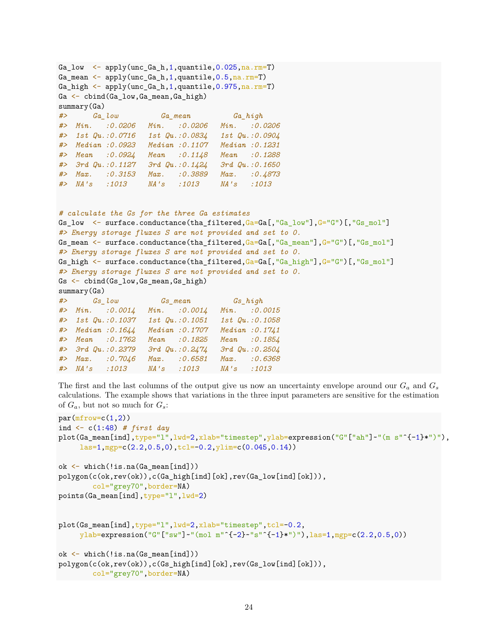```
Ga_low \leq apply(unc_Ga_h,1,quantile,0.025,na.rm=T)
Ga_mean \leq apply(unc_Ga_h,1,quantile,0.5, na.rm=T)
Ga_high \leq apply(unc_Ga_h,1,quantile,0.975, na.rm=T)
Ga \leftarrow cbind(Ga low,Ga mean,Ga high)
summary(Ga)
#> Ga_low Ga_mean Ga_high
#> Min. :0.0206 Min. :0.0206 Min. :0.0206
#> 1st Qu.:0.0716 1st Qu.:0.0834 1st Qu.:0.0904
#> Median :0.0923 Median :0.1107 Median :0.1231
#> Mean :0.0924 Mean :0.1148 Mean :0.1288
#> 3rd Qu.:0.1127 3rd Qu.:0.1424 3rd Qu.:0.1650
#> Max. :0.3153 Max. :0.3889 Max. :0.4873
#> NA's :1013 NA's :1013 NA's :1013
# calculate the Gs for the three Ga estimates
Gs_low <- surface.conductance(tha_filtered,Ga=Ga[,"Ga_low"],G="G")[,"Gs_mol"]
#> Energy storage fluxes S are not provided and set to 0.
Gs_mean <- surface.conductance(tha_filtered,Ga=Ga[,"Ga_mean"],G="G")[,"Gs_mol"]
#> Energy storage fluxes S are not provided and set to 0.
Gs high \leq surface.conductance(tha filtered,Ga=Ga[,"Ga high"],G="G")[,"Gs mol"]
#> Energy storage fluxes S are not provided and set to 0.
Gs <- cbind(Gs_low,Gs_mean,Gs_high)
summary(Gs)
#> Gs_low Gs_mean Gs_high
#> Min. :0.0014 Min. :0.0014 Min. :0.0015
#> 1st Qu.:0.1037 1st Qu.:0.1051 1st Qu.:0.1058
#> Median :0.1644 Median :0.1707 Median :0.1741
#> Mean :0.1762 Mean :0.1825 Mean :0.1854
#> 3rd Qu.:0.2379 3rd Qu.:0.2474 3rd Qu.:0.2504
#> Max. :0.7046 Max. :0.6581 Max. :0.6368
#> NA's :1013 NA's :1013 NA's :1013
```
The first and the last columns of the output give us now an uncertainty envelope around our  $G_a$  and  $G_s$ calculations. The example shows that variations in the three input parameters are sensitive for the estimation of  $G_a$ , but not so much for  $G_s$ :

```
par(mfrow=c(1,2))ind <- c(1:48) # first day
plot(Ga_mean[ind],type="l",lwd=2,xlab="timestep",ylab=expression("G"["ah"]~"(m s"^{-1}*")"),
     las=1,mgp=c(2.2,0.5,0),tcl=-0.2,ylim=c(0.045,0.14))
ok <- which(!is.na(Ga_mean[ind]))
polygon(c(ok,rev(ok)),c(Ga_high[ind][ok],rev(Ga_low[ind][ok])),
        col="grey70",border=NA)
points(Ga_mean[ind],type="l",lwd=2)
plot(Gs_mean[ind],type="l",lwd=2,xlab="timestep",tcl=-0.2,
     ylab=expression("G"["sw"]~"(mol m"^{-2}~"s"^{-1}*")"),las=1,mgp=c(2.2,0.5,0))
ok <- which(!is.na(Gs_mean[ind]))
polygon(c(ok,rev(ok)),c(Gs_high[ind][ok],rev(Gs_low[ind][ok])),
        col="grey70",border=NA)
```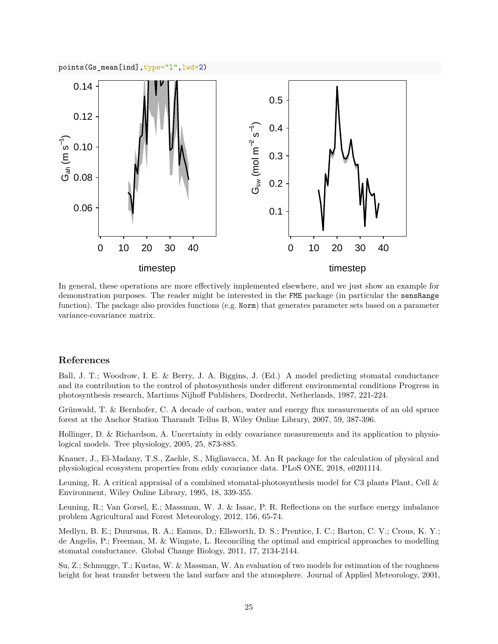

In general, these operations are more effectively implemented elsewhere, and we just show an example for demonstration purposes. The reader might be interested in the FME package (in particular the sensRange function). The package also provides functions (e.g. Norm) that generates parameter sets based on a parameter variance-covariance matrix.

#### **References**

Ball, J. T.; Woodrow, I. E. & Berry, J. A. Biggins, J. (Ed.) A model predicting stomatal conductance and its contribution to the control of photosynthesis under different environmental conditions Progress in photosynthesis research, Martinus Nijhoff Publishers, Dordrecht, Netherlands, 1987, 221-224.

Grünwald, T. & Bernhofer, C. A decade of carbon, water and energy flux measurements of an old spruce forest at the Anchor Station Tharandt Tellus B, Wiley Online Library, 2007, 59, 387-396.

Hollinger, D. & Richardson, A. Uncertainty in eddy covariance measurements and its application to physiological models. Tree physiology, 2005, 25, 873-885.

Knauer, J., El-Madany, T.S., Zaehle, S., Migliavacca, M. An R package for the calculation of physical and physiological ecosystem properties from eddy covariance data. PLoS ONE, 2018, e0201114.

Leuning, R. A critical appraisal of a combined stomatal-photosynthesis model for C3 plants Plant, Cell & Environment, Wiley Online Library, 1995, 18, 339-355.

Leuning, R.; Van Gorsel, E.; Massman, W. J. & Isaac, P. R. Reflections on the surface energy imbalance problem Agricultural and Forest Meteorology, 2012, 156, 65-74.

Medlyn, B. E.; Duursma, R. A.; Eamus, D.; Ellsworth, D. S.; Prentice, I. C.; Barton, C. V.; Crous, K. Y.; de Angelis, P.; Freeman, M. & Wingate, L. Reconciling the optimal and empirical approaches to modelling stomatal conductance. Global Change Biology, 2011, 17, 2134-2144.

Su, Z.; Schmugge, T.; Kustas, W. & Massman, W. An evaluation of two models for estimation of the roughness height for heat transfer between the land surface and the atmosphere. Journal of Applied Meteorology, 2001,